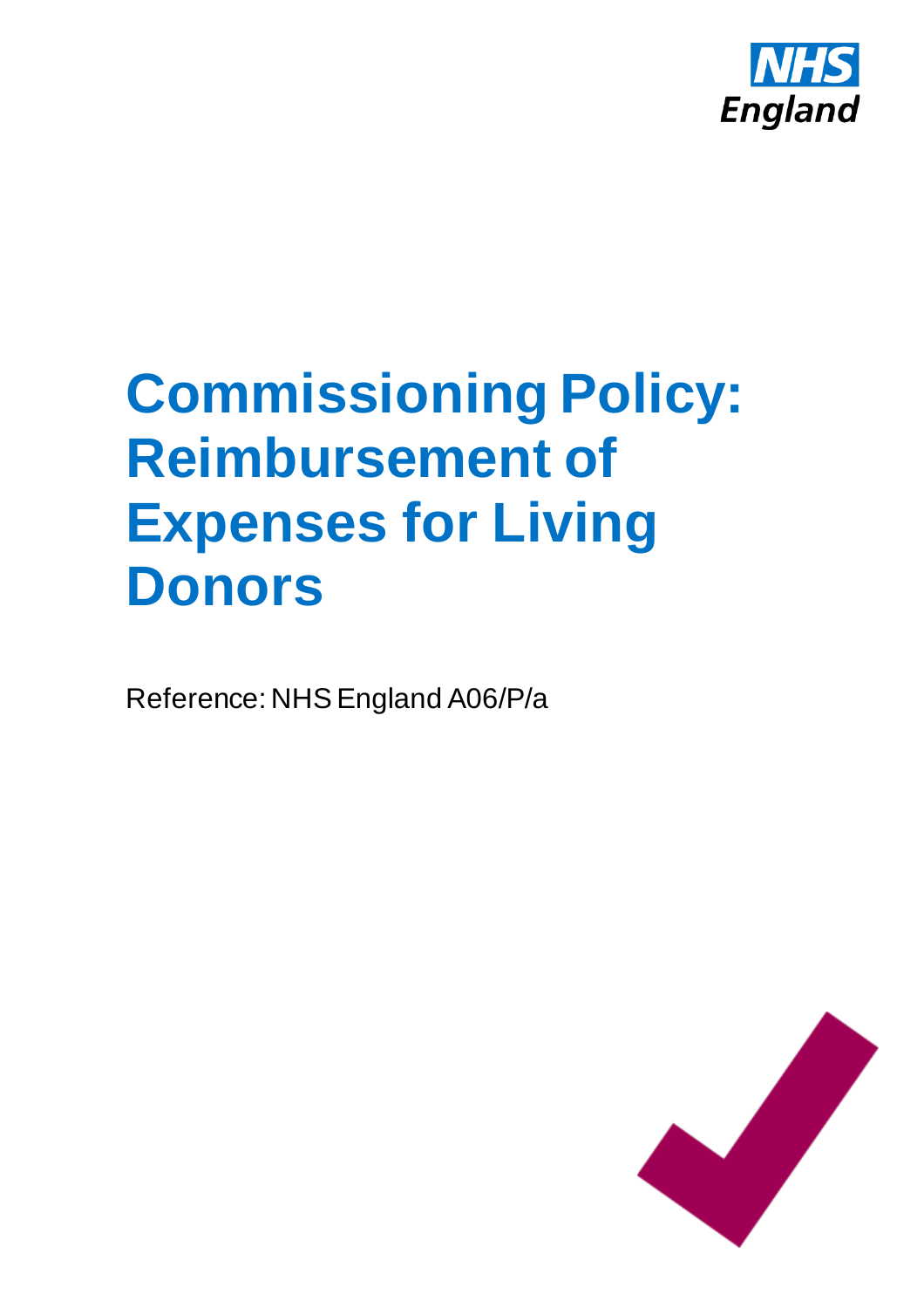

# **Commissioning Policy: Reimbursement of Expenses for Living Donors**

Reference: NHS England A06/P/a

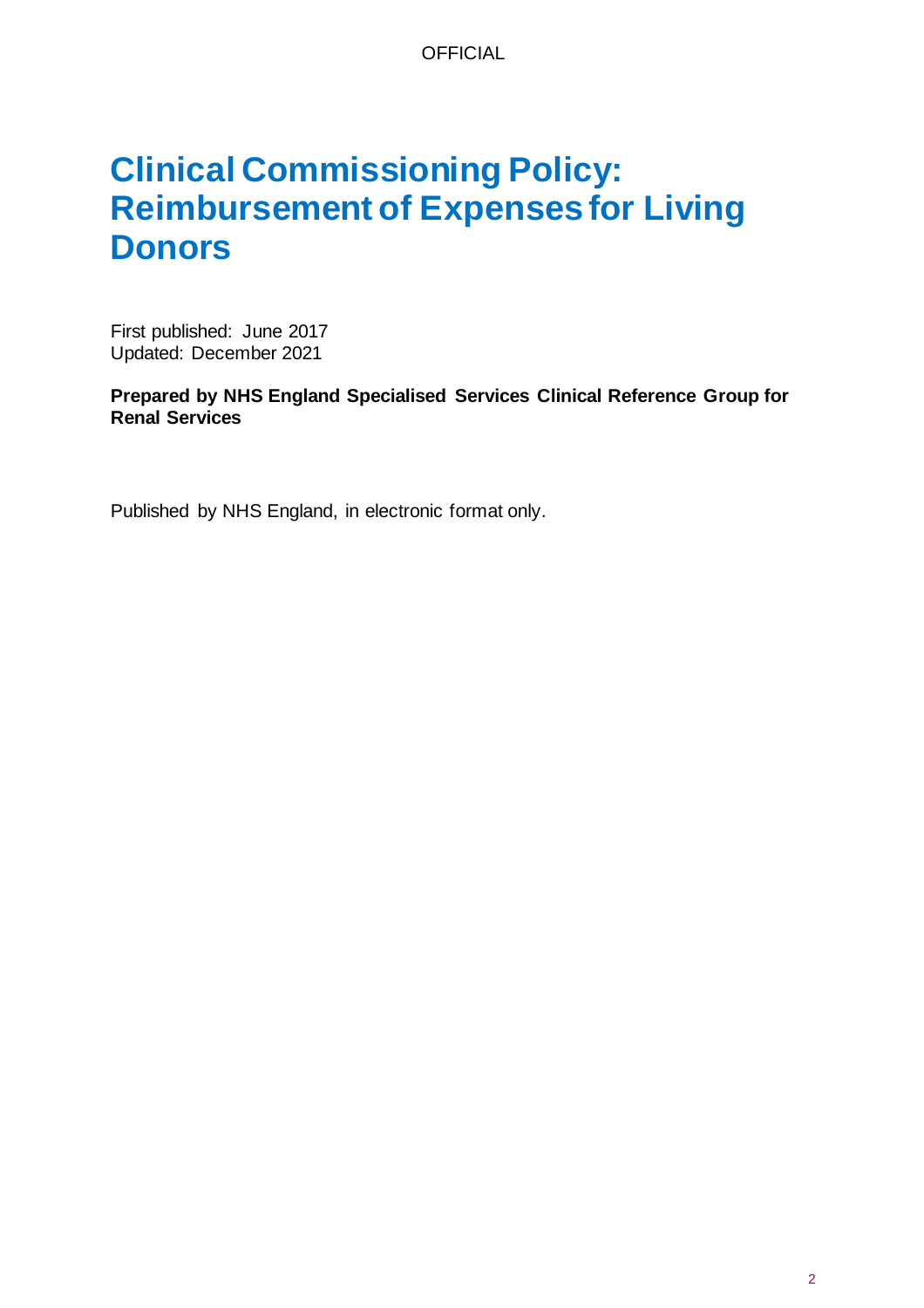# **Clinical Commissioning Policy: Reimbursement of Expenses for Living Donors**

First published: June 2017 Updated: December 2021

**Prepared by NHS England Specialised Services Clinical Reference Group for Renal Services**

Published by NHS England, in electronic format only.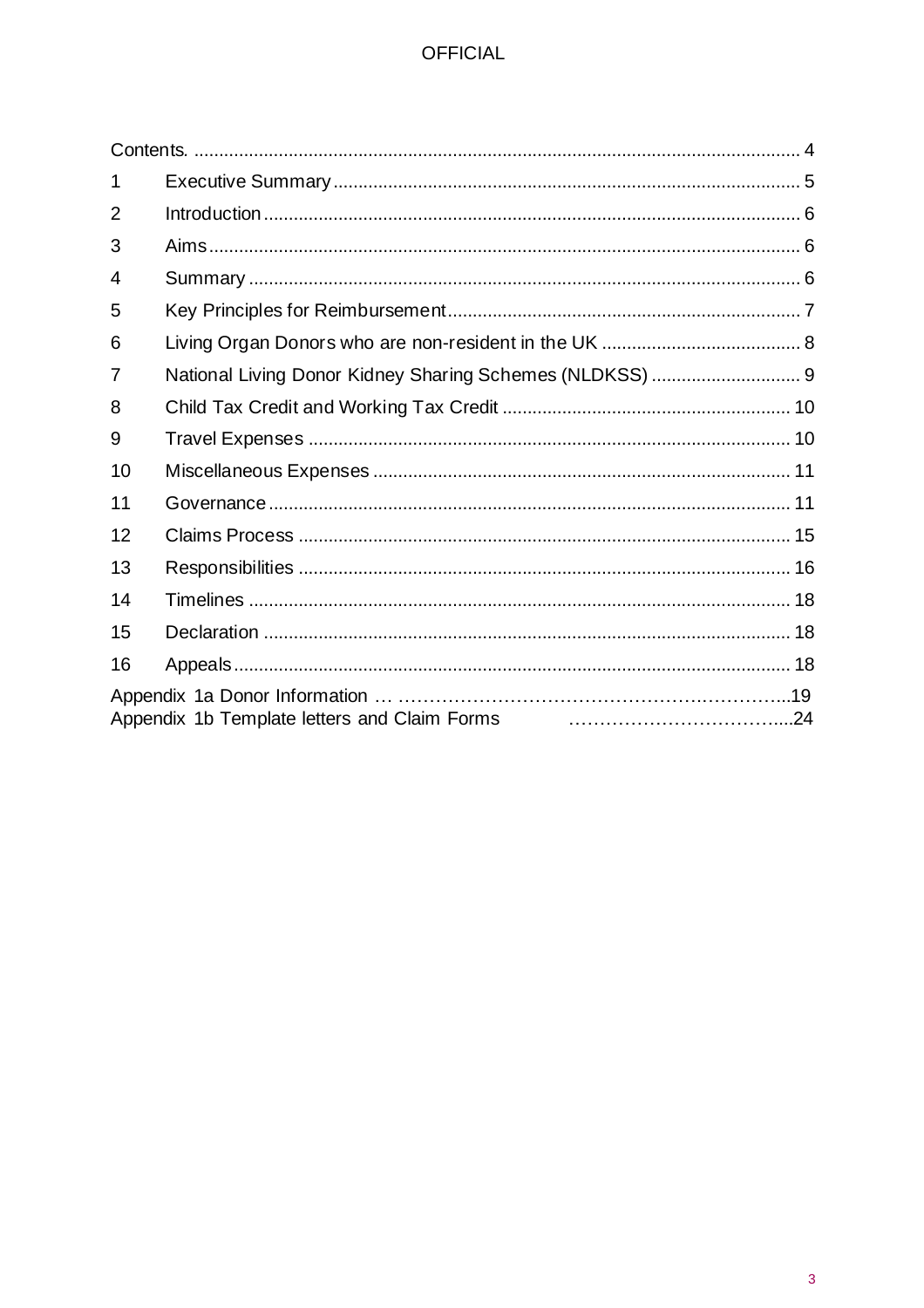| 1              |                                                          |  |
|----------------|----------------------------------------------------------|--|
| $\overline{2}$ |                                                          |  |
| 3              |                                                          |  |
| 4              |                                                          |  |
| 5              |                                                          |  |
| 6              |                                                          |  |
| 7              | National Living Donor Kidney Sharing Schemes (NLDKSS)  9 |  |
| 8              |                                                          |  |
| 9              |                                                          |  |
| 10             |                                                          |  |
| 11             |                                                          |  |
| 12             |                                                          |  |
| 13             |                                                          |  |
| 14             |                                                          |  |
| 15             |                                                          |  |
| 16             |                                                          |  |
|                |                                                          |  |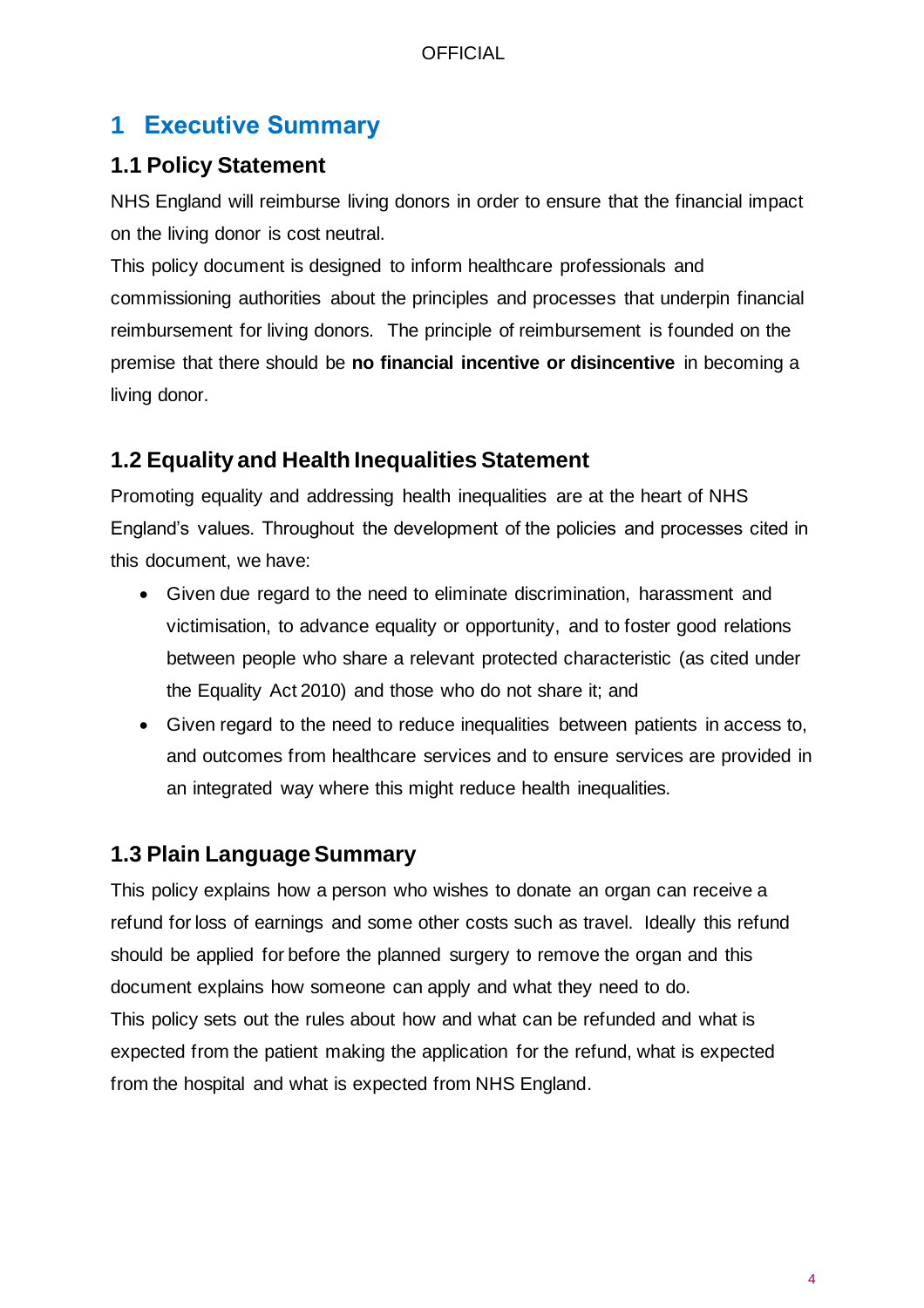# <span id="page-3-0"></span>**1 Executive Summary**

### **1.1 Policy Statement**

NHS England will reimburse living donors in order to ensure that the financial impact on the living donor is cost neutral.

This policy document is designed to inform healthcare professionals and commissioning authorities about the principles and processes that underpin financial reimbursement for living donors. The principle of reimbursement is founded on the premise that there should be **no financial incentive or disincentive** in becoming a living donor.

# **1.2 Equality and Health Inequalities Statement**

Promoting equality and addressing health inequalities are at the heart of NHS England's values. Throughout the development of the policies and processes cited in this document, we have:

- Given due regard to the need to eliminate discrimination, harassment and victimisation, to advance equality or opportunity, and to foster good relations between people who share a relevant protected characteristic (as cited under the Equality Act 2010) and those who do not share it; and
- Given regard to the need to reduce inequalities between patients in access to, and outcomes from healthcare services and to ensure services are provided in an integrated way where this might reduce health inequalities.

### **1.3 Plain Language Summary**

This policy explains how a person who wishes to donate an organ can receive a refund for loss of earnings and some other costs such as travel. Ideally this refund should be applied for before the planned surgery to remove the organ and this document explains how someone can apply and what they need to do. This policy sets out the rules about how and what can be refunded and what is expected from the patient making the application for the refund, what is expected from the hospital and what is expected from NHS England.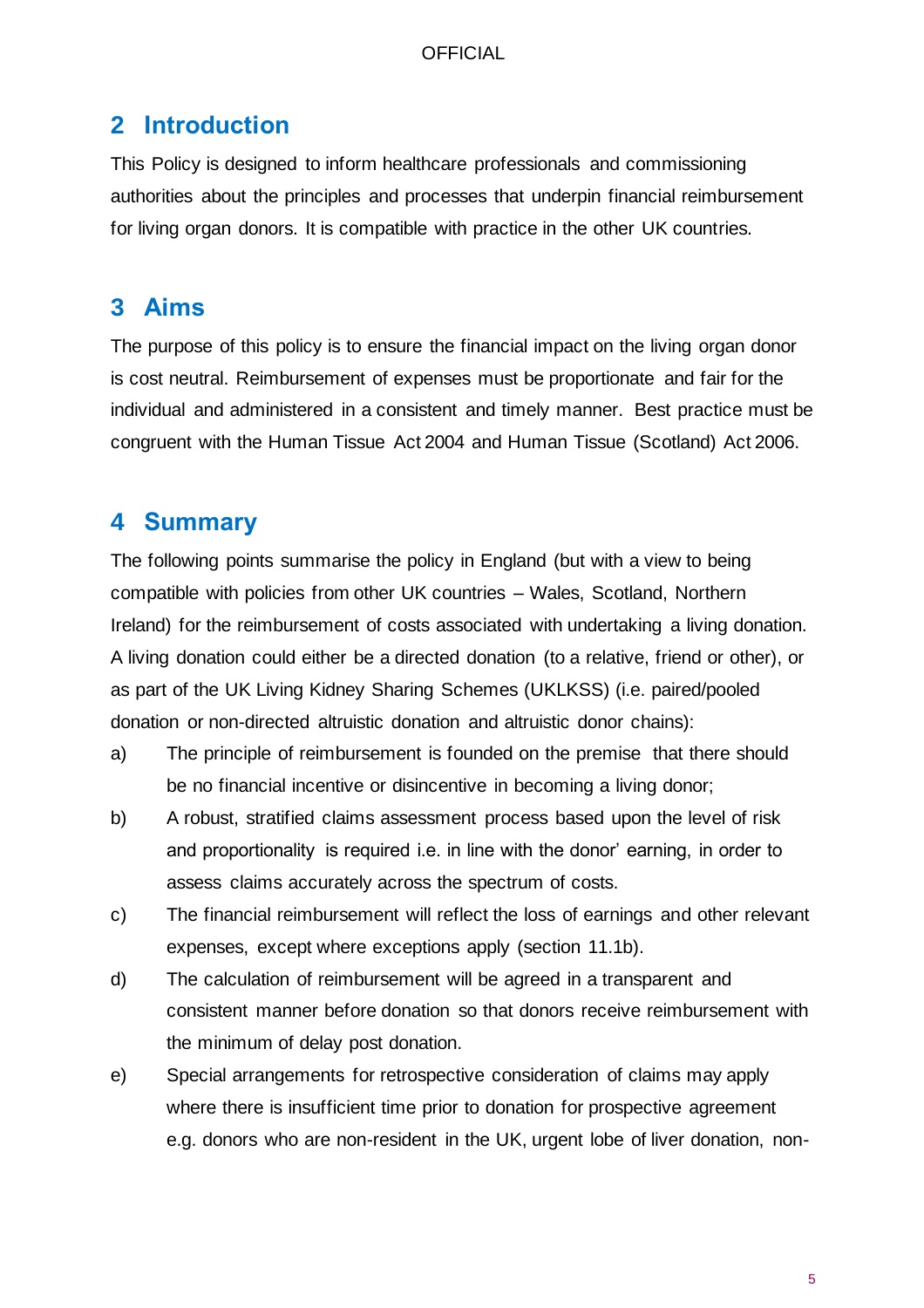## <span id="page-4-0"></span>**2 Introduction**

This Policy is designed to inform healthcare professionals and commissioning authorities about the principles and processes that underpin financial reimbursement for living organ donors. It is compatible with practice in the other UK countries.

# <span id="page-4-1"></span>**3 Aims**

The purpose of this policy is to ensure the financial impact on the living organ donor is cost neutral. Reimbursement of expenses must be proportionate and fair for the individual and administered in a consistent and timely manner. Best practice must be congruent with the Human Tissue Act 2004 and Human Tissue (Scotland) Act 2006.

# <span id="page-4-2"></span>**4 Summary**

The following points summarise the policy in England (but with a view to being compatible with policies from other UK countries – Wales, Scotland, Northern Ireland) for the reimbursement of costs associated with undertaking a living donation. A living donation could either be a directed donation (to a relative, friend or other), or as part of the UK Living Kidney Sharing Schemes (UKLKSS) (i.e. paired/pooled donation or non-directed altruistic donation and altruistic donor chains):

- a) The principle of reimbursement is founded on the premise that there should be no financial incentive or disincentive in becoming a living donor;
- b) A robust, stratified claims assessment process based upon the level of risk and proportionality is required i.e. in line with the donor' earning, in order to assess claims accurately across the spectrum of costs.
- c) The financial reimbursement will reflect the loss of earnings and other relevant expenses, except where exceptions apply (section 11.1b).
- d) The calculation of reimbursement will be agreed in a transparent and consistent manner before donation so that donors receive reimbursement with the minimum of delay post donation.
- e) Special arrangements for retrospective consideration of claims may apply where there is insufficient time prior to donation for prospective agreement e.g. donors who are non-resident in the UK, urgent lobe of liver donation, non-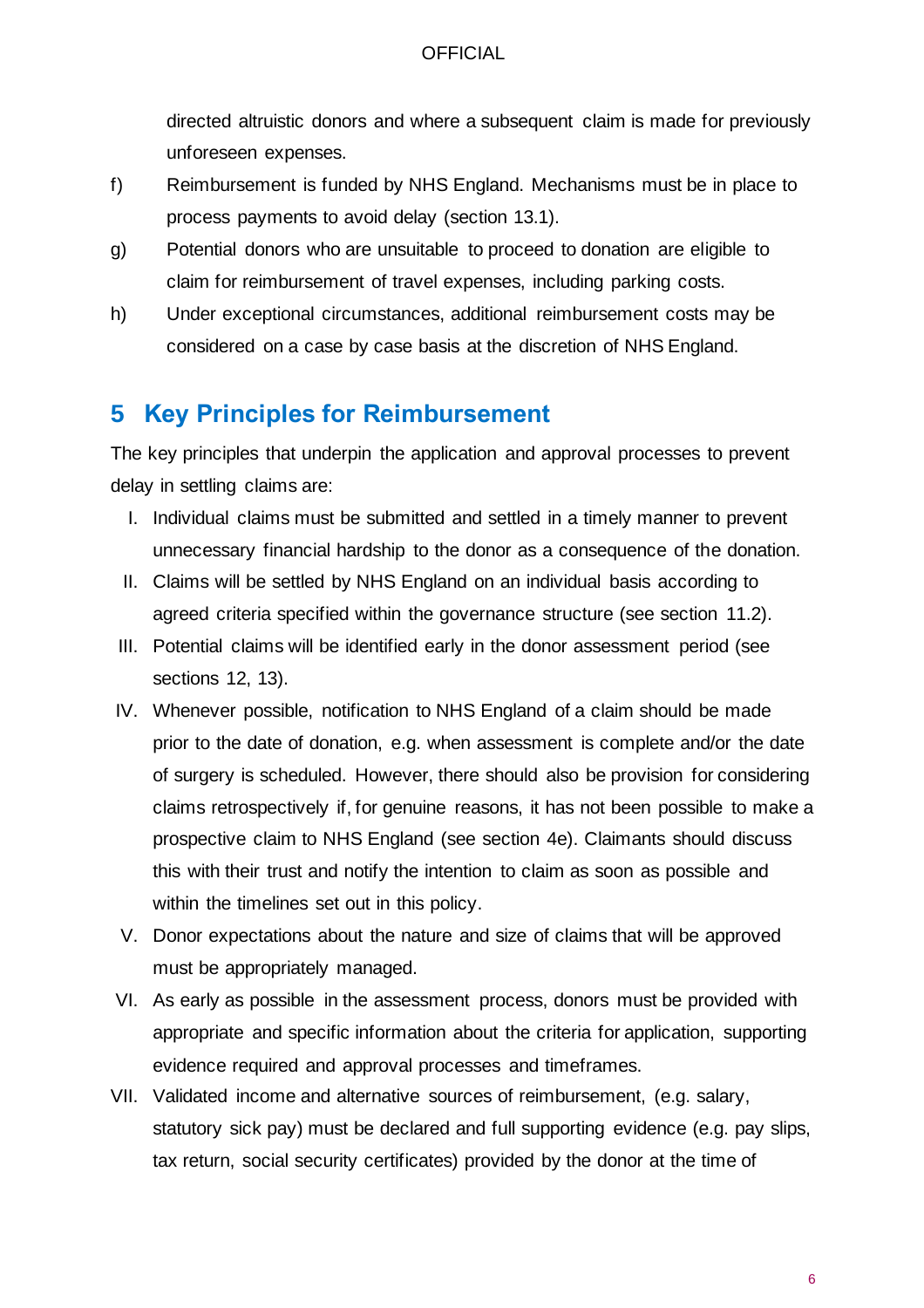directed altruistic donors and where a subsequent claim is made for previously unforeseen expenses.

- f) Reimbursement is funded by NHS England. Mechanisms must be in place to process payments to avoid delay (section 13.1).
- g) Potential donors who are unsuitable to proceed to donation are eligible to claim for reimbursement of travel expenses, including parking costs.
- h) Under exceptional circumstances, additional reimbursement costs may be considered on a case by case basis at the discretion of NHS England.

# <span id="page-5-0"></span>**5 Key Principles for Reimbursement**

The key principles that underpin the application and approval processes to prevent delay in settling claims are:

- I. Individual claims must be submitted and settled in a timely manner to prevent unnecessary financial hardship to the donor as a consequence of the donation.
- II. Claims will be settled by NHS England on an individual basis according to agreed criteria specified within the governance structure (see section 11.2).
- III. Potential claims will be identified early in the donor assessment period (see sections 12, 13).
- IV. Whenever possible, notification to NHS England of a claim should be made prior to the date of donation, e.g. when assessment is complete and/or the date of surgery is scheduled. However, there should also be provision for considering claims retrospectively if, for genuine reasons, it has not been possible to make a prospective claim to NHS England (see section 4e). Claimants should discuss this with their trust and notify the intention to claim as soon as possible and within the timelines set out in this policy.
- V. Donor expectations about the nature and size of claims that will be approved must be appropriately managed.
- VI. As early as possible in the assessment process, donors must be provided with appropriate and specific information about the criteria for application, supporting evidence required and approval processes and timeframes.
- VII. Validated income and alternative sources of reimbursement, (e.g. salary, statutory sick pay) must be declared and full supporting evidence (e.g. pay slips, tax return, social security certificates) provided by the donor at the time of

6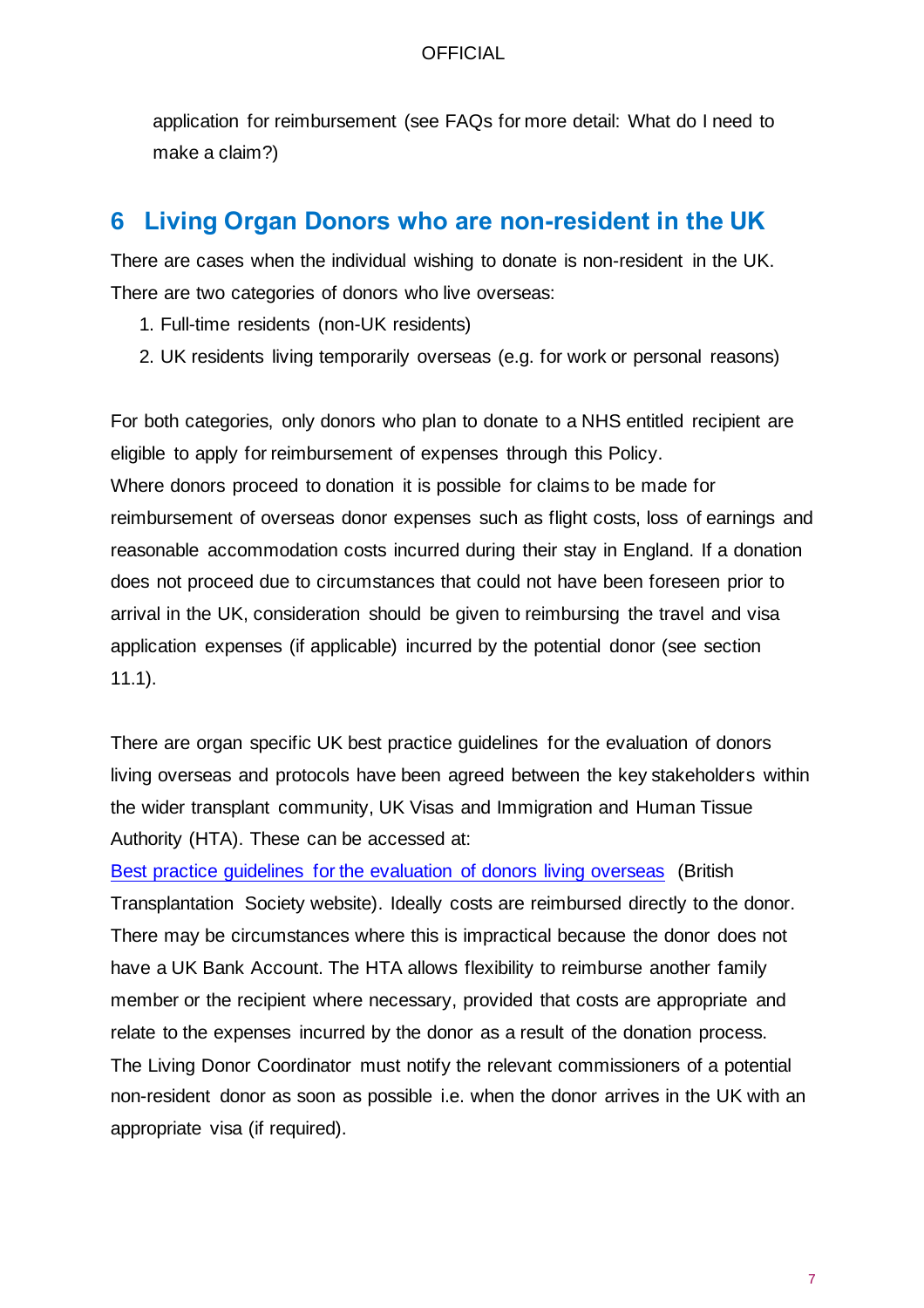application for reimbursement (see FAQs for more detail: What do I need to make a claim?)

## <span id="page-6-0"></span>**6 Living Organ Donors who are non-resident in the UK**

There are cases when the individual wishing to donate is non-resident in the UK. There are two categories of donors who live overseas:

- 1. Full-time residents (non-UK residents)
- 2. UK residents living temporarily overseas (e.g. for work or personal reasons)

For both categories, only donors who plan to donate to a NHS entitled recipient are eligible to apply for reimbursement of expenses through this Policy. Where donors proceed to donation it is possible for claims to be made for reimbursement of overseas donor expenses such as flight costs, loss of earnings and reasonable accommodation costs incurred during their stay in England. If a donation does not proceed due to circumstances that could not have been foreseen prior to arrival in the UK, consideration should be given to reimbursing the travel and visa application expenses (if applicable) incurred by the potential donor (see section 11.1).

There are organ specific UK best practice guidelines for the evaluation of donors living overseas and protocols have been agreed between the key stakeholders within the wider transplant community, UK Visas and Immigration and Human Tissue Authority (HTA). These can be accessed at:

[Best practice guidelines for the evaluation of donors living overseas](http://www.bts.org.uk/BTS/Guidelines_Standards/Current/BTS/Guidelines_Standards/Current_Guidelines.aspx) (British Transplantation Society website). Ideally costs are reimbursed directly to the donor. There may be circumstances where this is impractical because the donor does not have a UK Bank Account. The HTA allows flexibility to reimburse another family member or the recipient where necessary, provided that costs are appropriate and relate to the expenses incurred by the donor as a result of the donation process. The Living Donor Coordinator must notify the relevant commissioners of a potential non-resident donor as soon as possible i.e. when the donor arrives in the UK with an appropriate visa (if required).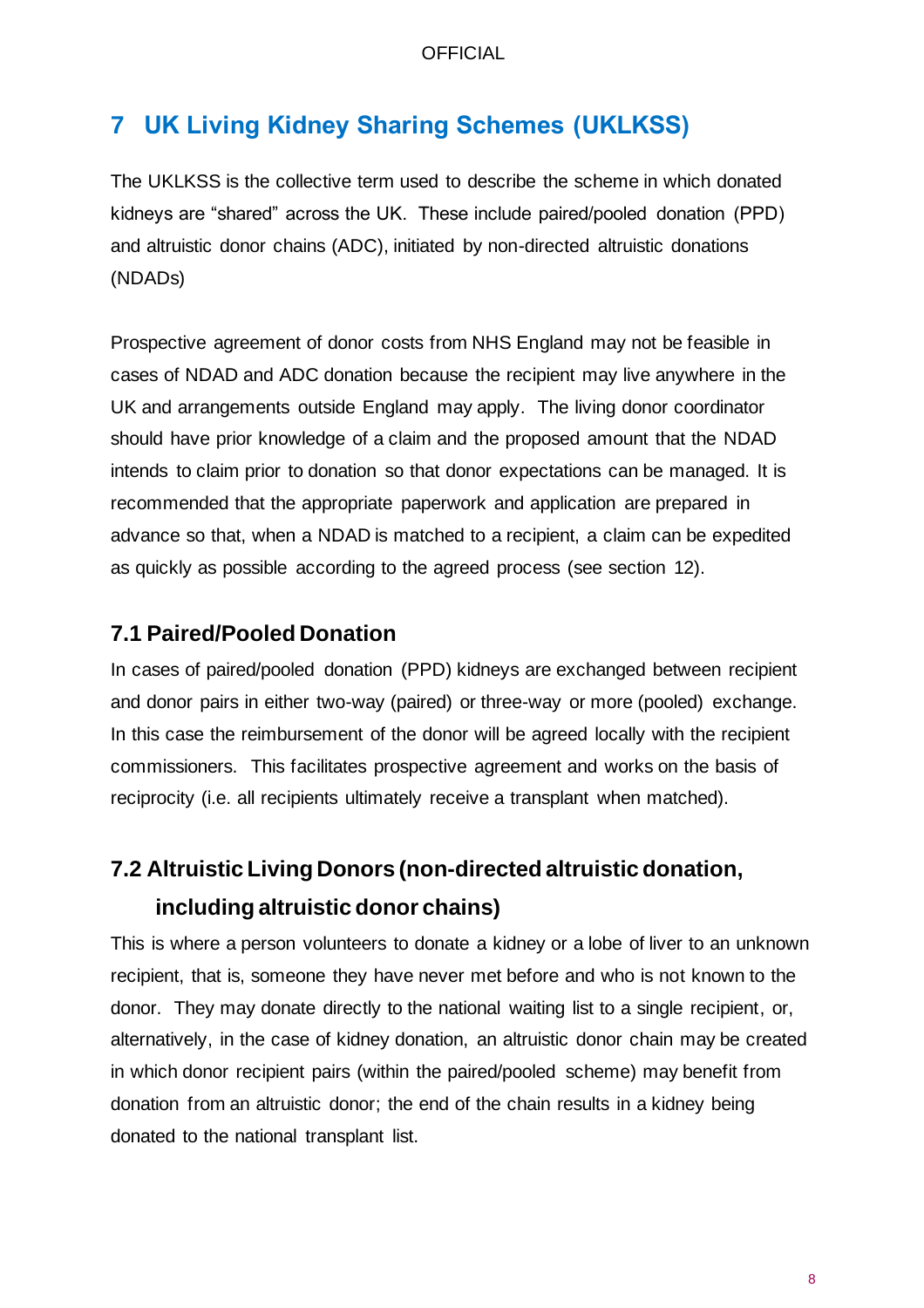# <span id="page-7-0"></span>**7 UK Living Kidney Sharing Schemes (UKLKSS)**

The UKLKSS is the collective term used to describe the scheme in which donated kidneys are "shared" across the UK. These include paired/pooled donation (PPD) and altruistic donor chains (ADC), initiated by non-directed altruistic donations (NDADs)

Prospective agreement of donor costs from NHS England may not be feasible in cases of NDAD and ADC donation because the recipient may live anywhere in the UK and arrangements outside England may apply. The living donor coordinator should have prior knowledge of a claim and the proposed amount that the NDAD intends to claim prior to donation so that donor expectations can be managed. It is recommended that the appropriate paperwork and application are prepared in advance so that, when a NDAD is matched to a recipient, a claim can be expedited as quickly as possible according to the agreed process (see section 12).

### **7.1 Paired/Pooled Donation**

In cases of paired/pooled donation (PPD) kidneys are exchanged between recipient and donor pairs in either two-way (paired) or three-way or more (pooled) exchange. In this case the reimbursement of the donor will be agreed locally with the recipient commissioners. This facilitates prospective agreement and works on the basis of reciprocity (i.e. all recipients ultimately receive a transplant when matched).

# **7.2 Altruistic Living Donors (non-directed altruistic donation, including altruistic donor chains)**

This is where a person volunteers to donate a kidney or a lobe of liver to an unknown recipient, that is, someone they have never met before and who is not known to the donor. They may donate directly to the national waiting list to a single recipient, or, alternatively, in the case of kidney donation, an altruistic donor chain may be created in which donor recipient pairs (within the paired/pooled scheme) may benefit from donation from an altruistic donor; the end of the chain results in a kidney being donated to the national transplant list.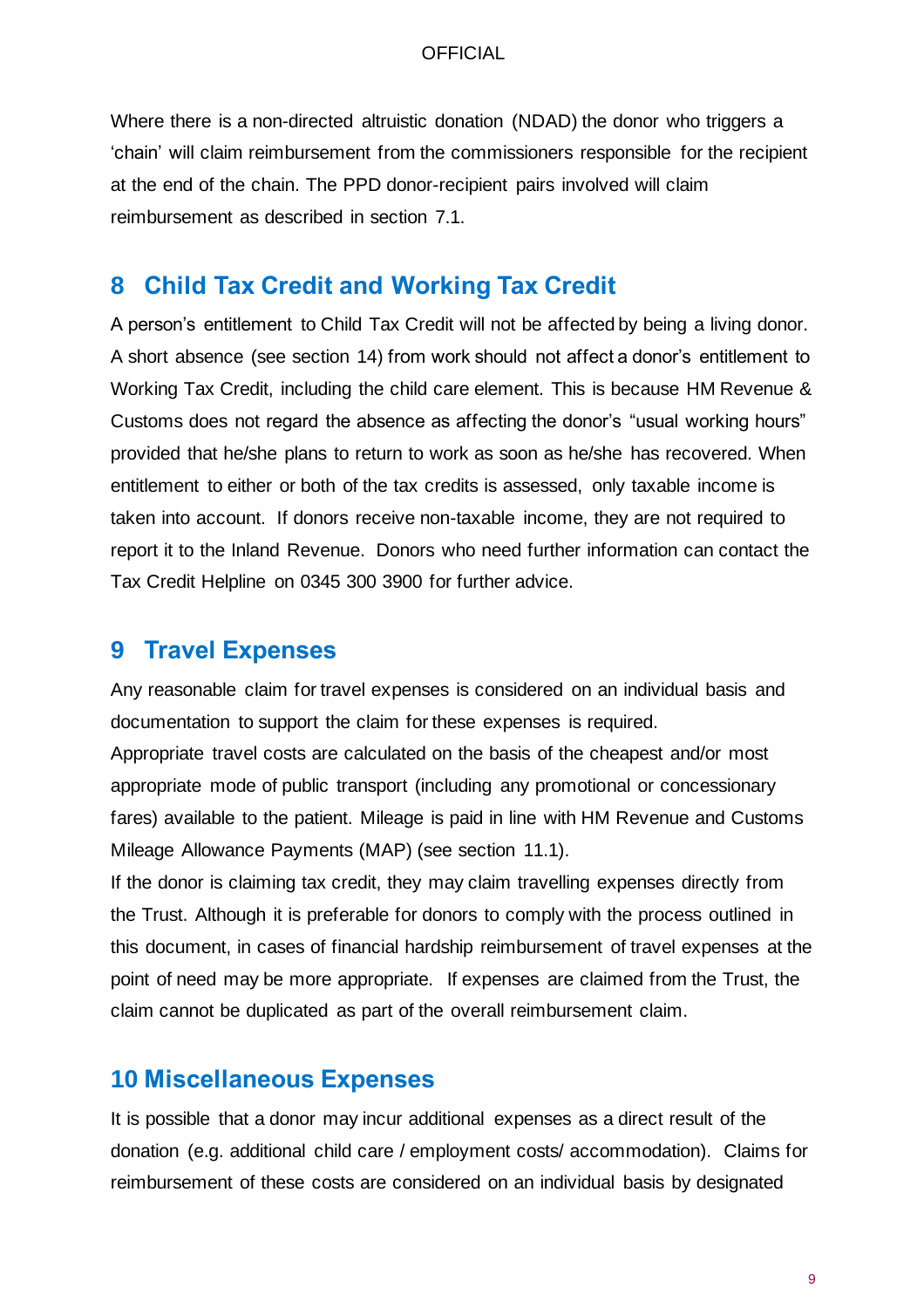Where there is a non-directed altruistic donation (NDAD) the donor who triggers a 'chain' will claim reimbursement from the commissioners responsible for the recipient at the end of the chain. The PPD donor-recipient pairs involved will claim reimbursement as described in section 7.1.

### <span id="page-8-0"></span>**8 Child Tax Credit and Working Tax Credit**

A person's entitlement to Child Tax Credit will not be affected by being a living donor. A short absence (see section 14) from work should not affect a donor's entitlement to Working Tax Credit, including the child care element. This is because HM Revenue & Customs does not regard the absence as affecting the donor's "usual working hours" provided that he/she plans to return to work as soon as he/she has recovered. When entitlement to either or both of the tax credits is assessed, only taxable income is taken into account. If donors receive non-taxable income, they are not required to report it to the Inland Revenue. Donors who need further information can contact the Tax Credit Helpline on 0345 300 3900 for further advice.

### <span id="page-8-1"></span>**9 Travel Expenses**

Any reasonable claim for travel expenses is considered on an individual basis and documentation to support the claim for these expenses is required. Appropriate travel costs are calculated on the basis of the cheapest and/or most appropriate mode of public transport (including any promotional or concessionary fares) available to the patient. Mileage is paid in line with HM Revenue and Customs Mileage Allowance Payments (MAP) (see section 11.1).

If the donor is claiming tax credit, they may claim travelling expenses directly from the Trust. Although it is preferable for donors to comply with the process outlined in this document, in cases of financial hardship reimbursement of travel expenses at the point of need may be more appropriate. If expenses are claimed from the Trust, the claim cannot be duplicated as part of the overall reimbursement claim.

### <span id="page-8-2"></span>**10 Miscellaneous Expenses**

It is possible that a donor may incur additional expenses as a direct result of the donation (e.g. additional child care / employment costs/ accommodation). Claims for reimbursement of these costs are considered on an individual basis by designated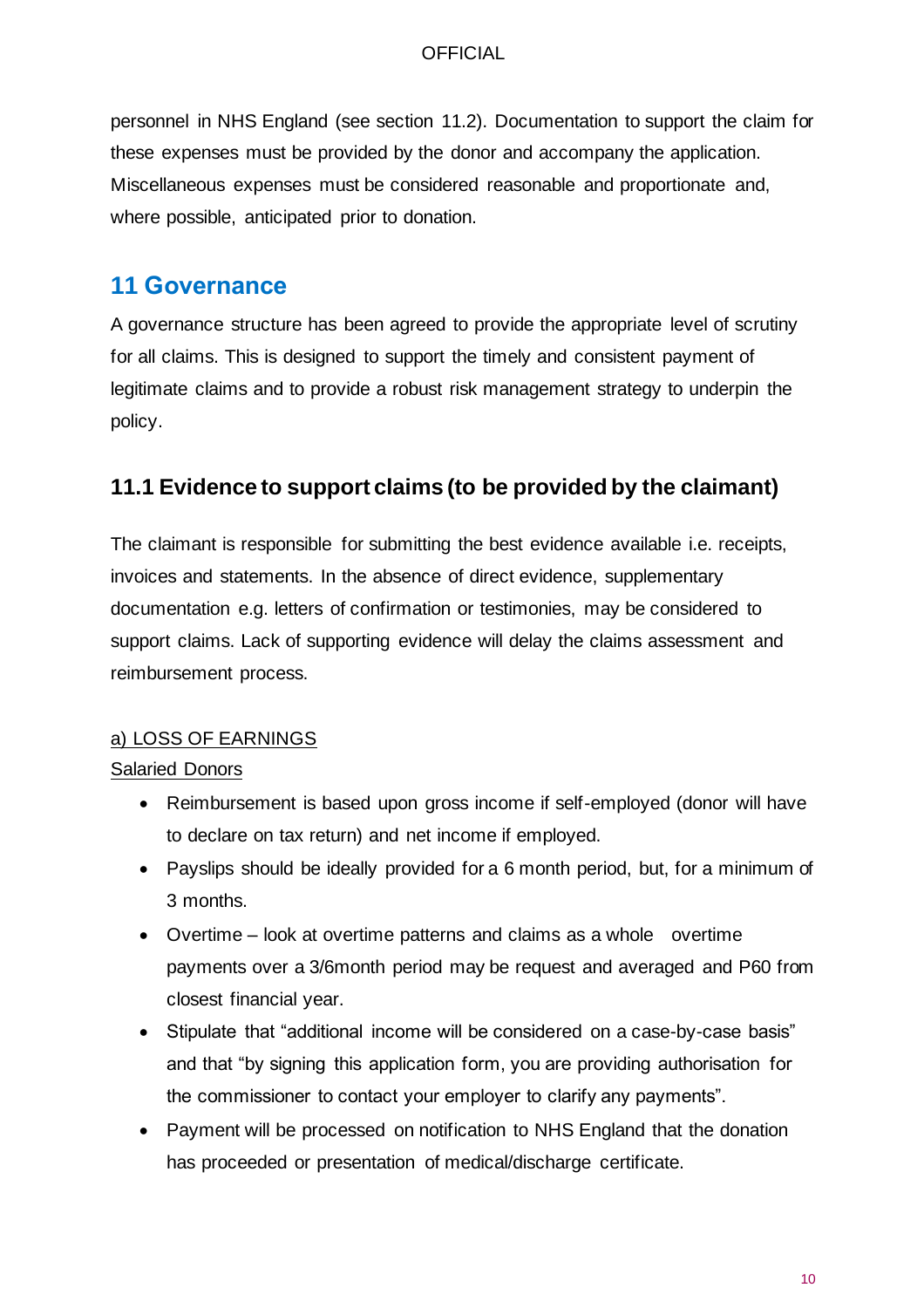personnel in NHS England (see section 11.2). Documentation to support the claim for these expenses must be provided by the donor and accompany the application. Miscellaneous expenses must be considered reasonable and proportionate and, where possible, anticipated prior to donation.

# <span id="page-9-0"></span>**11 Governance**

A governance structure has been agreed to provide the appropriate level of scrutiny for all claims. This is designed to support the timely and consistent payment of legitimate claims and to provide a robust risk management strategy to underpin the policy.

### **11.1 Evidence to support claims (to be provided by the claimant)**

The claimant is responsible for submitting the best evidence available i.e. receipts, invoices and statements. In the absence of direct evidence, supplementary documentation e.g. letters of confirmation or testimonies, may be considered to support claims. Lack of supporting evidence will delay the claims assessment and reimbursement process.

### a) LOSS OF EARNINGS

### Salaried Donors

- Reimbursement is based upon gross income if self-employed (donor will have to declare on tax return) and net income if employed.
- Payslips should be ideally provided for a 6 month period, but, for a minimum of 3 months.
- Overtime look at overtime patterns and claims as a whole overtime payments over a 3/6month period may be request and averaged and P60 from closest financial year.
- Stipulate that "additional income will be considered on a case-by-case basis" and that "by signing this application form, you are providing authorisation for the commissioner to contact your employer to clarify any payments".
- Payment will be processed on notification to NHS England that the donation has proceeded or presentation of medical/discharge certificate.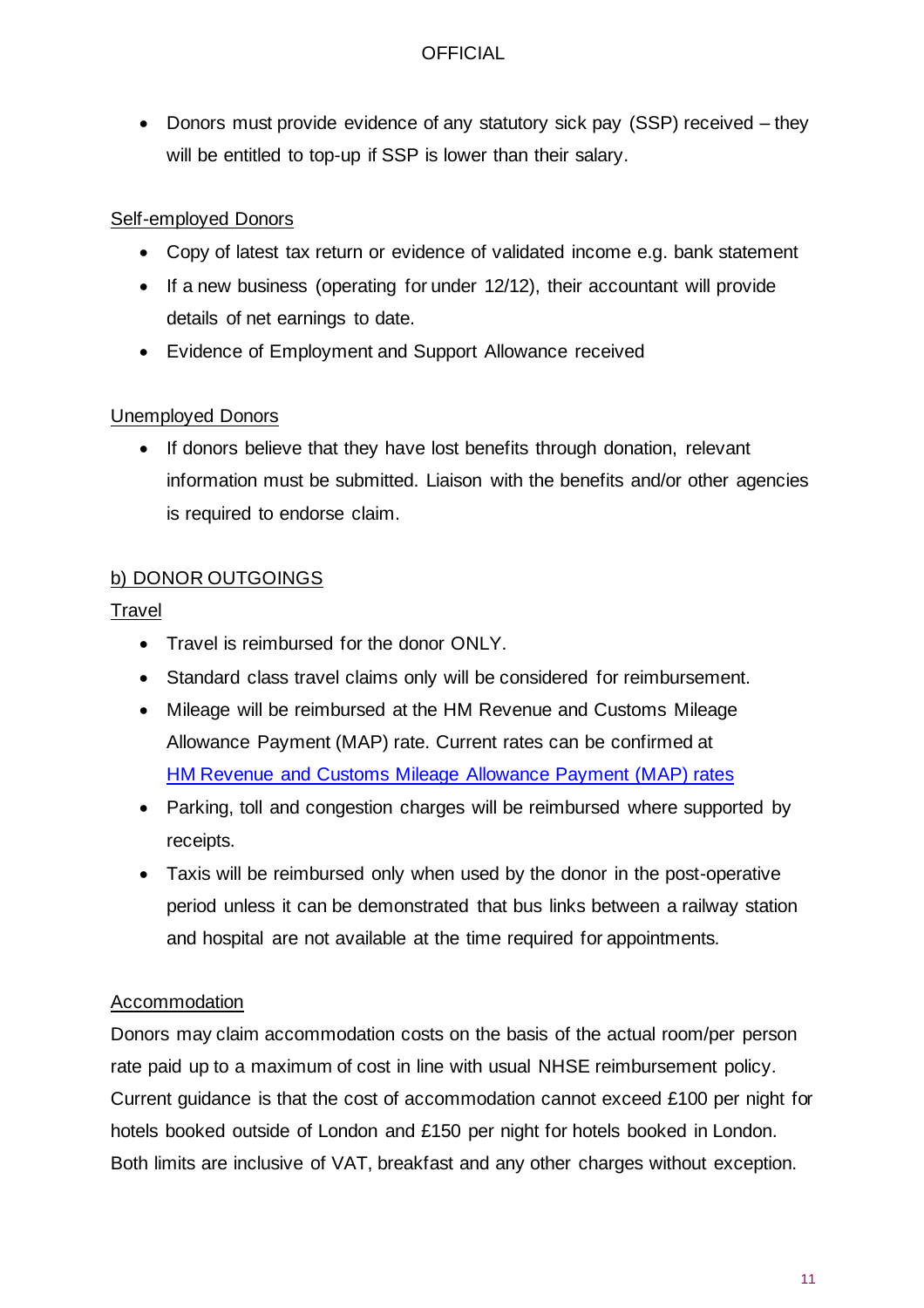• Donors must provide evidence of any statutory sick pay (SSP) received – they will be entitled to top-up if SSP is lower than their salary.

### Self-employed Donors

- Copy of latest tax return or evidence of validated income e.g. bank statement
- If a new business (operating for under 12/12), their accountant will provide details of net earnings to date.
- Evidence of Employment and Support Allowance received

### Unemployed Donors

• If donors believe that they have lost benefits through donation, relevant information must be submitted. Liaison with the benefits and/or other agencies is required to endorse claim.

### b) DONOR OUTGOINGS

### **Travel**

- Travel is reimbursed for the donor ONLY.
- Standard class travel claims only will be considered for reimbursement.
- Mileage will be reimbursed at the HM Revenue and Customs Mileage Allowance Payment (MAP) rate. Current rates can be confirmed at HM Revenue and Customs [Mileage Allowance Payment \(MAP\) rates](https://www.gov.uk/expenses-and-benefits-business-travel-mileage/rules-for-tax)
- Parking, toll and congestion charges will be reimbursed where supported by receipts.
- Taxis will be reimbursed only when used by the donor in the post-operative period unless it can be demonstrated that bus links between a railway station and hospital are not available at the time required for appointments.

### Accommodation

Donors may claim accommodation costs on the basis of the actual room/per person rate paid up to a maximum of cost in line with usual NHSE reimbursement policy. Current guidance is that the cost of accommodation cannot exceed £100 per night for hotels booked outside of London and £150 per night for hotels booked in London. Both limits are inclusive of VAT, breakfast and any other charges without exception.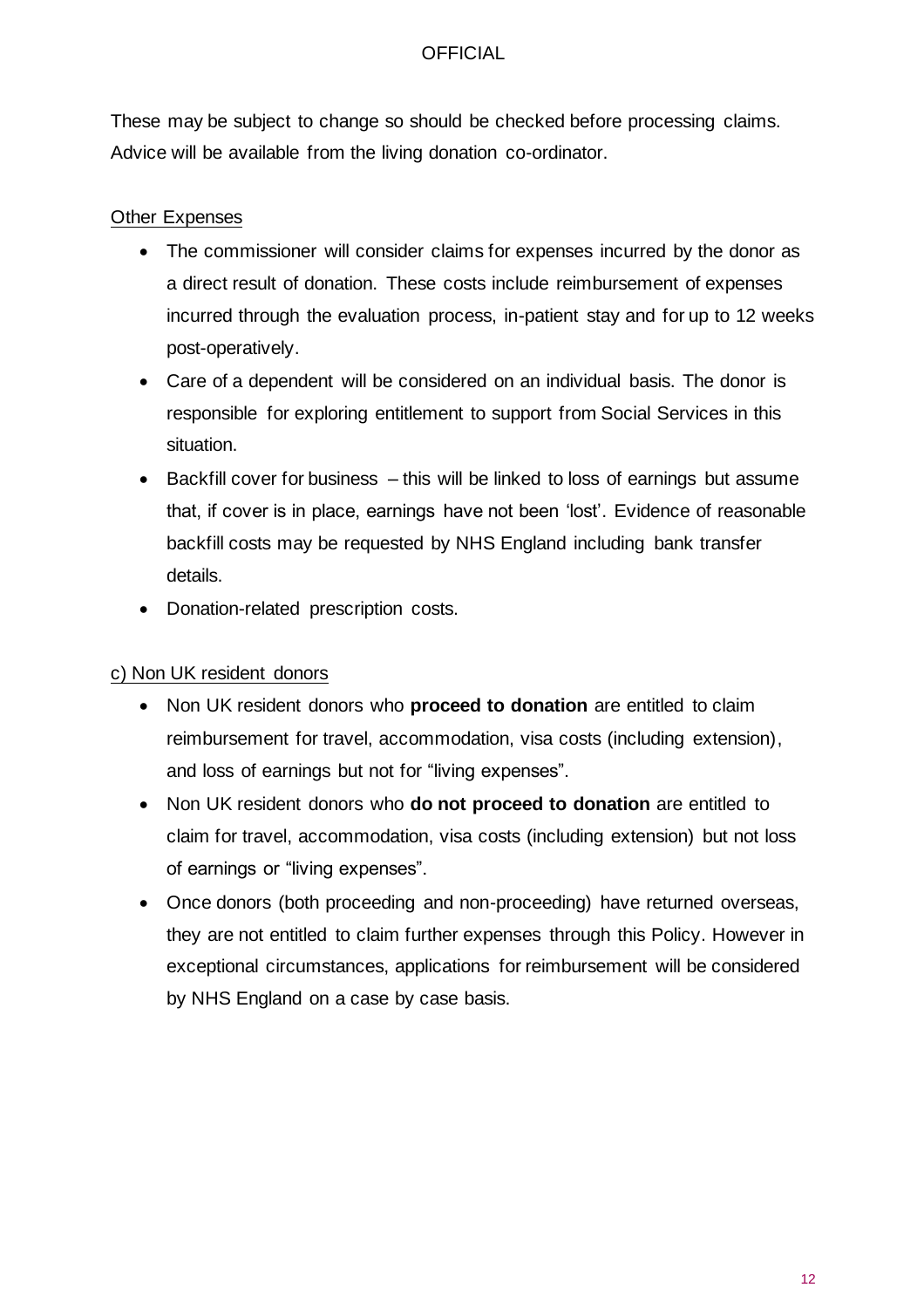These may be subject to change so should be checked before processing claims. Advice will be available from the living donation co-ordinator.

### Other Expenses

- The commissioner will consider claims for expenses incurred by the donor as a direct result of donation. These costs include reimbursement of expenses incurred through the evaluation process, in-patient stay and for up to 12 weeks post-operatively.
- Care of a dependent will be considered on an individual basis. The donor is responsible for exploring entitlement to support from Social Services in this situation.
- Backfill cover for business this will be linked to loss of earnings but assume that, if cover is in place, earnings have not been 'lost'. Evidence of reasonable backfill costs may be requested by NHS England including bank transfer details.
- Donation-related prescription costs.

### c) Non UK resident donors

- Non UK resident donors who **proceed to donation** are entitled to claim reimbursement for travel, accommodation, visa costs (including extension), and loss of earnings but not for "living expenses".
- Non UK resident donors who **do not proceed to donation** are entitled to claim for travel, accommodation, visa costs (including extension) but not loss of earnings or "living expenses".
- Once donors (both proceeding and non-proceeding) have returned overseas, they are not entitled to claim further expenses through this Policy. However in exceptional circumstances, applications for reimbursement will be considered by NHS England on a case by case basis.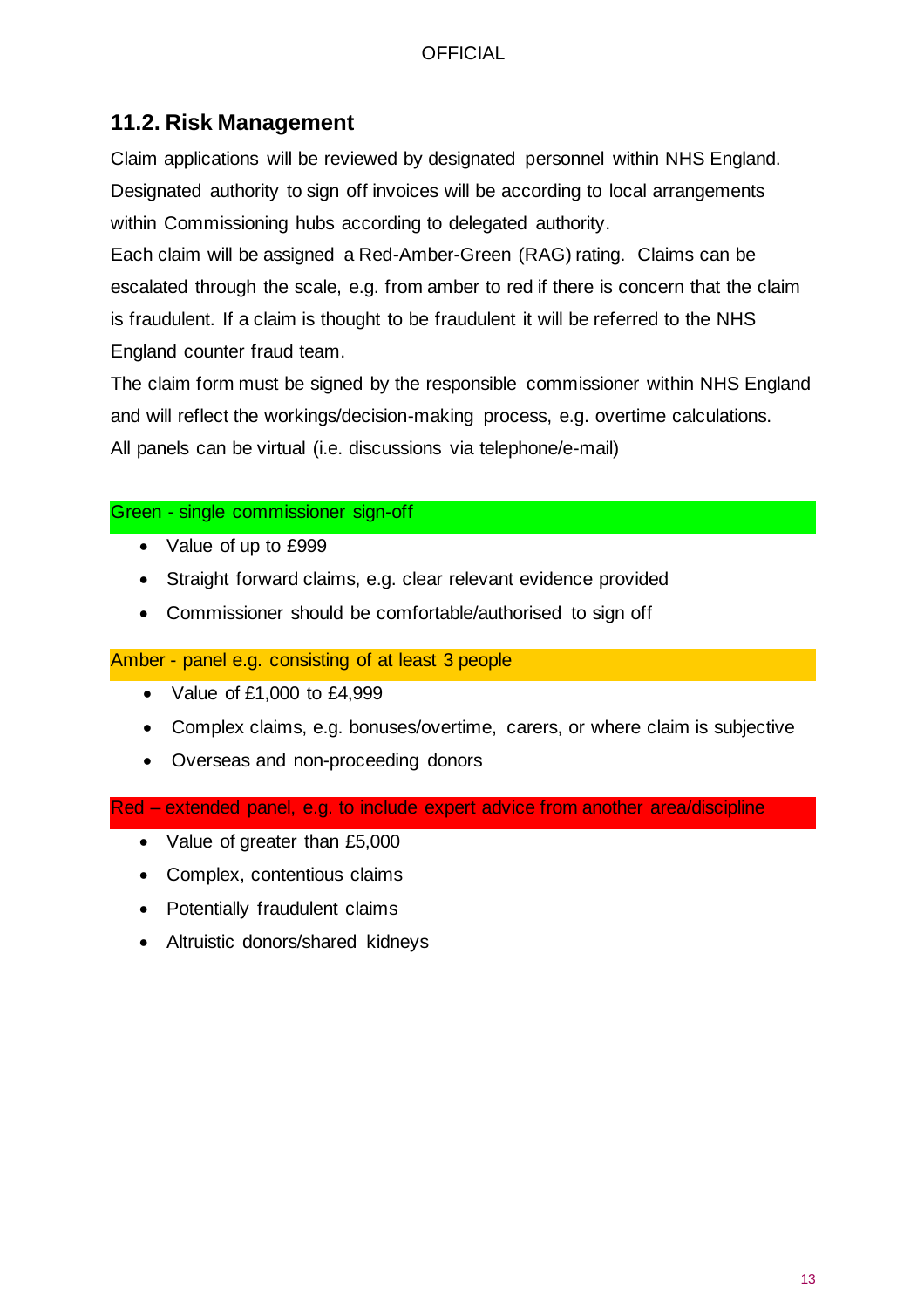### **11.2. Risk Management**

Claim applications will be reviewed by designated personnel within NHS England. Designated authority to sign off invoices will be according to local arrangements within Commissioning hubs according to delegated authority.

Each claim will be assigned a Red-Amber-Green (RAG) rating. Claims can be escalated through the scale, e.g. from amber to red if there is concern that the claim is fraudulent. If a claim is thought to be fraudulent it will be referred to the NHS England counter fraud team.

The claim form must be signed by the responsible commissioner within NHS England and will reflect the workings/decision-making process, e.g. overtime calculations. All panels can be virtual (i.e. discussions via telephone/e-mail)

### Green - single commissioner sign-off

- Value of up to £999
- Straight forward claims, e.g. clear relevant evidence provided
- Commissioner should be comfortable/authorised to sign off

Amber - panel e.g. consisting of at least 3 people

- Value of £1,000 to £4,999
- Complex claims, e.g. bonuses/overtime, carers, or where claim is subjective
- Overseas and non-proceeding donors

Red – extended panel, e.g. to include expert advice from another area/discipline

- Value of greater than £5,000
- Complex, contentious claims
- Potentially fraudulent claims
- Altruistic donors/shared kidneys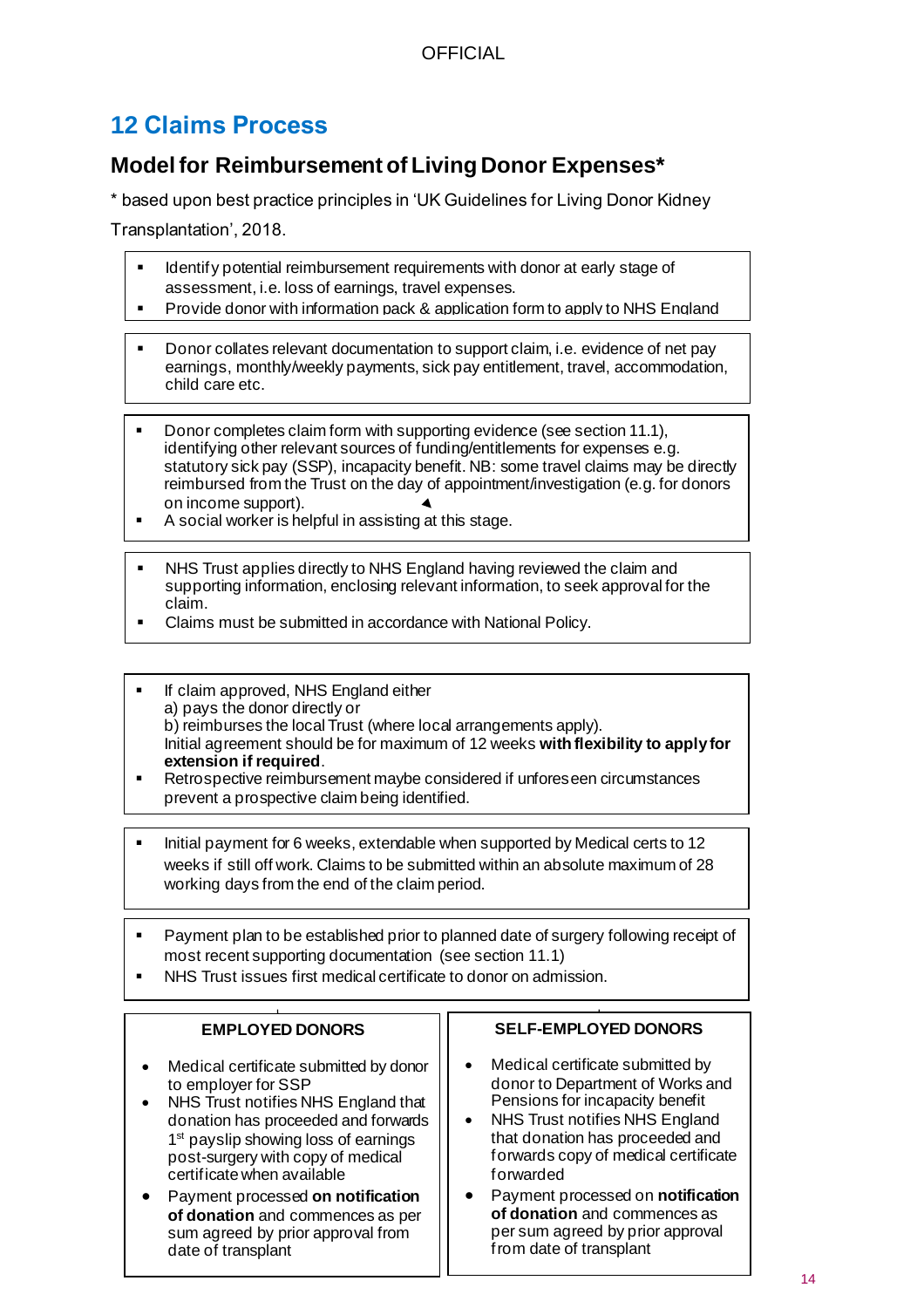# <span id="page-13-0"></span>**12 Claims Process**

# **Model for Reimbursement of Living Donor Expenses\***

\* based upon best practice principles in 'UK Guidelines for Living Donor Kidney

Transplantation', 2018.

- Identify potential reimbursement requirements with donor at early stage of assessment, i.e. loss of earnings, travel expenses.
- Provide donor with information pack & application form to apply to NHS England
- Donor collates relevant documentation to support claim, i.e. evidence of net pay earnings, monthly/weekly payments, sick pay entitlement, travel, accommodation, child oors ats child care etc.
- Donor completes claim form with supporting evidence (see section 11.1), identifying other relevant sources of funding/entitlements for expenses e.g. statutory sick pay (SSP), incapacity benefit. NB: some travel claims may be directly reimbursed from the Trust on the day of appointment/investigation (e.g. for donors on income support).
- A social worker is helpful in assisting at this stage.
- NHS Trust applies directly to NHS England having reviewed the claim and supporting information, enclosing relevant information, to seek approval for the claim.
- Claims must be submitted in accordance with National Policy.
- If claim approved, NHS England either a) pays the donor directly or b) reimburses the local Trust (where local arrangements apply). Initial agreement should be for maximum of 12 weeks **with flexibility to apply for extension if required**.
- Retrospective reimbursement maybe considered if unforeseen circumstances prevent a prospective claim being identified.
- Initial payment for 6 weeks, extendable when supported by Medical certs to 12 weeks if still off work. Claims to be submitted within an absolute maximum of 28 working days from the end of the claim period.
- Payment plan to be established prior to planned date of surgery following receipt of most recent supporting documentation (see section 11.1)
- NHS Trust issues first medical certificate to donor on admission.

#### **EMPLOYED DONORS**

- Medical certificate submitted by donor to employer for SSP
- NHS Trust notifies NHS England that donation has proceeded and forwards 1<sup>st</sup> payslip showing loss of earnings post-surgery with copy of medical certificate when available
- Payment processed **on notification of donation** and commences as per sum agreed by prior approval from date of transplant

#### **SELF-EMPLOYED DONORS**

- Medical certificate submitted by donor to Department of Works and Pensions for incapacity benefit
- NHS Trust notifies NHS England that donation has proceeded and forwards copy of medical certificate forwarded
- Payment processed on **notification of donation** and commences as per sum agreed by prior approval from date of transplant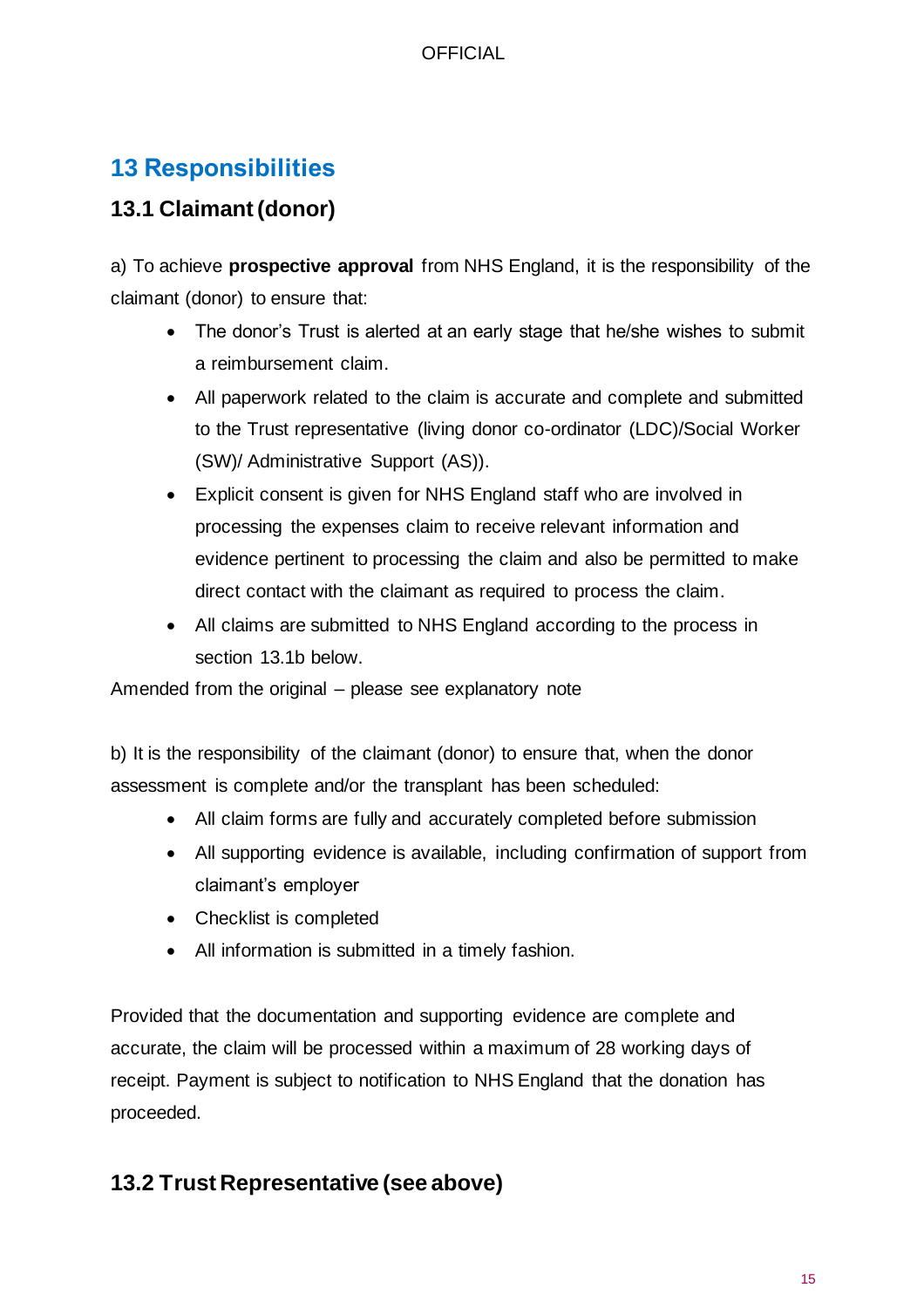# <span id="page-14-0"></span>**13 Responsibilities**

# **13.1 Claimant (donor)**

a) To achieve **prospective approval** from NHS England, it is the responsibility of the claimant (donor) to ensure that:

- The donor's Trust is alerted at an early stage that he/she wishes to submit a reimbursement claim.
- All paperwork related to the claim is accurate and complete and submitted to the Trust representative (living donor co-ordinator (LDC)/Social Worker (SW)/ Administrative Support (AS)).
- Explicit consent is given for NHS England staff who are involved in processing the expenses claim to receive relevant information and evidence pertinent to processing the claim and also be permitted to make direct contact with the claimant as required to process the claim.
- All claims are submitted to NHS England according to the process in section 13.1b below.

Amended from the original – please see explanatory note

b) It is the responsibility of the claimant (donor) to ensure that, when the donor assessment is complete and/or the transplant has been scheduled:

- All claim forms are fully and accurately completed before submission
- All supporting evidence is available, including confirmation of support from claimant's employer
- Checklist is completed
- All information is submitted in a timely fashion.

Provided that the documentation and supporting evidence are complete and accurate, the claim will be processed within a maximum of 28 working days of receipt. Payment is subject to notification to NHS England that the donation has proceeded.

# **13.2 Trust Representative (see above)**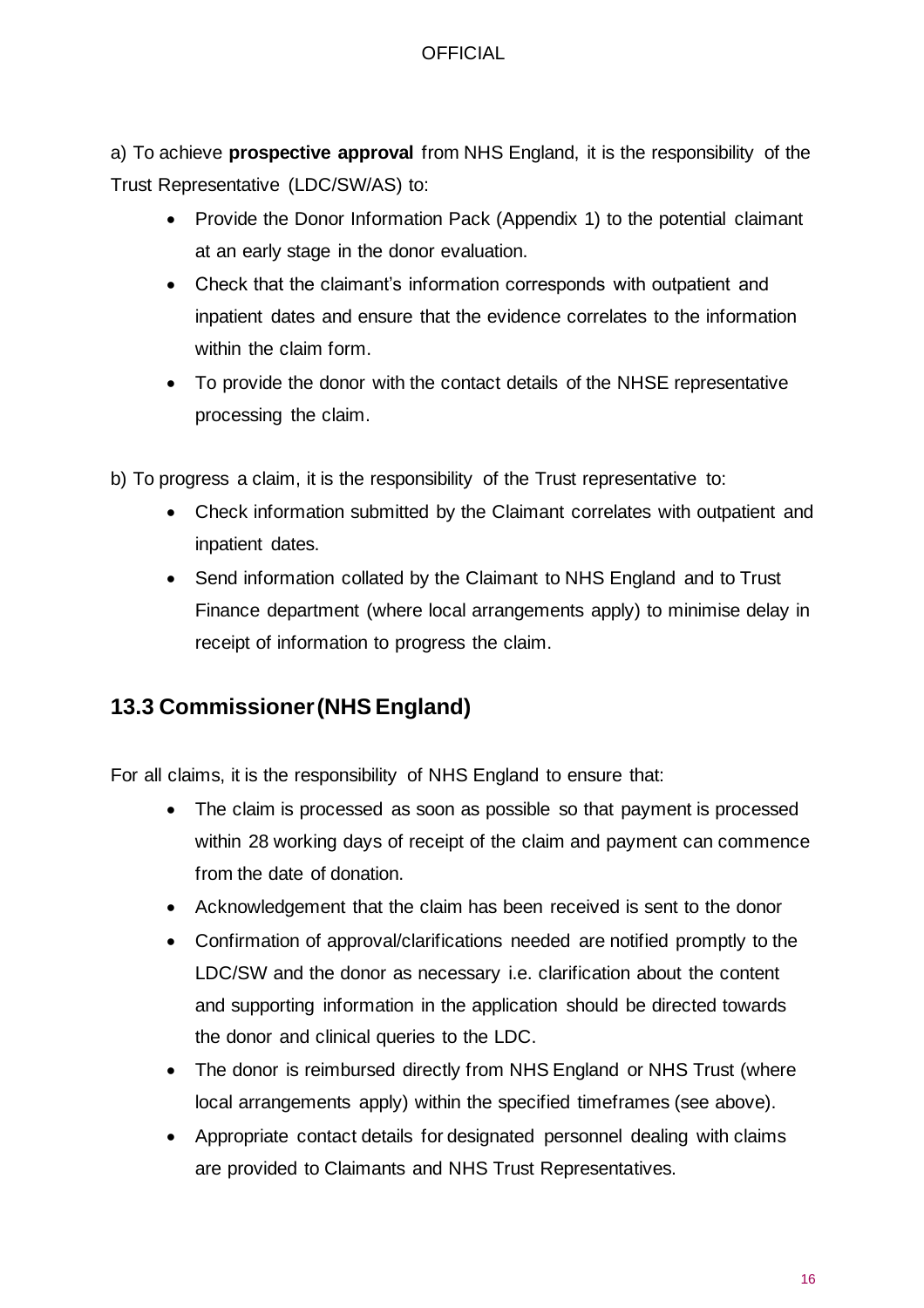a) To achieve **prospective approval** from NHS England, it is the responsibility of the Trust Representative (LDC/SW/AS) to:

- Provide the Donor Information Pack (Appendix 1) to the potential claimant at an early stage in the donor evaluation.
- Check that the claimant's information corresponds with outpatient and inpatient dates and ensure that the evidence correlates to the information within the claim form.
- To provide the donor with the contact details of the NHSE representative processing the claim.

b) To progress a claim, it is the responsibility of the Trust representative to:

- Check information submitted by the Claimant correlates with outpatient and inpatient dates.
- Send information collated by the Claimant to NHS England and to Trust Finance department (where local arrangements apply) to minimise delay in receipt of information to progress the claim.

# **13.3 Commissioner (NHS England)**

For all claims, it is the responsibility of NHS England to ensure that:

- The claim is processed as soon as possible so that payment is processed within 28 working days of receipt of the claim and payment can commence from the date of donation.
- Acknowledgement that the claim has been received is sent to the donor
- Confirmation of approval/clarifications needed are notified promptly to the LDC/SW and the donor as necessary i.e. clarification about the content and supporting information in the application should be directed towards the donor and clinical queries to the LDC.
- The donor is reimbursed directly from NHS England or NHS Trust (where local arrangements apply) within the specified timeframes (see above).
- Appropriate contact details for designated personnel dealing with claims are provided to Claimants and NHS Trust Representatives.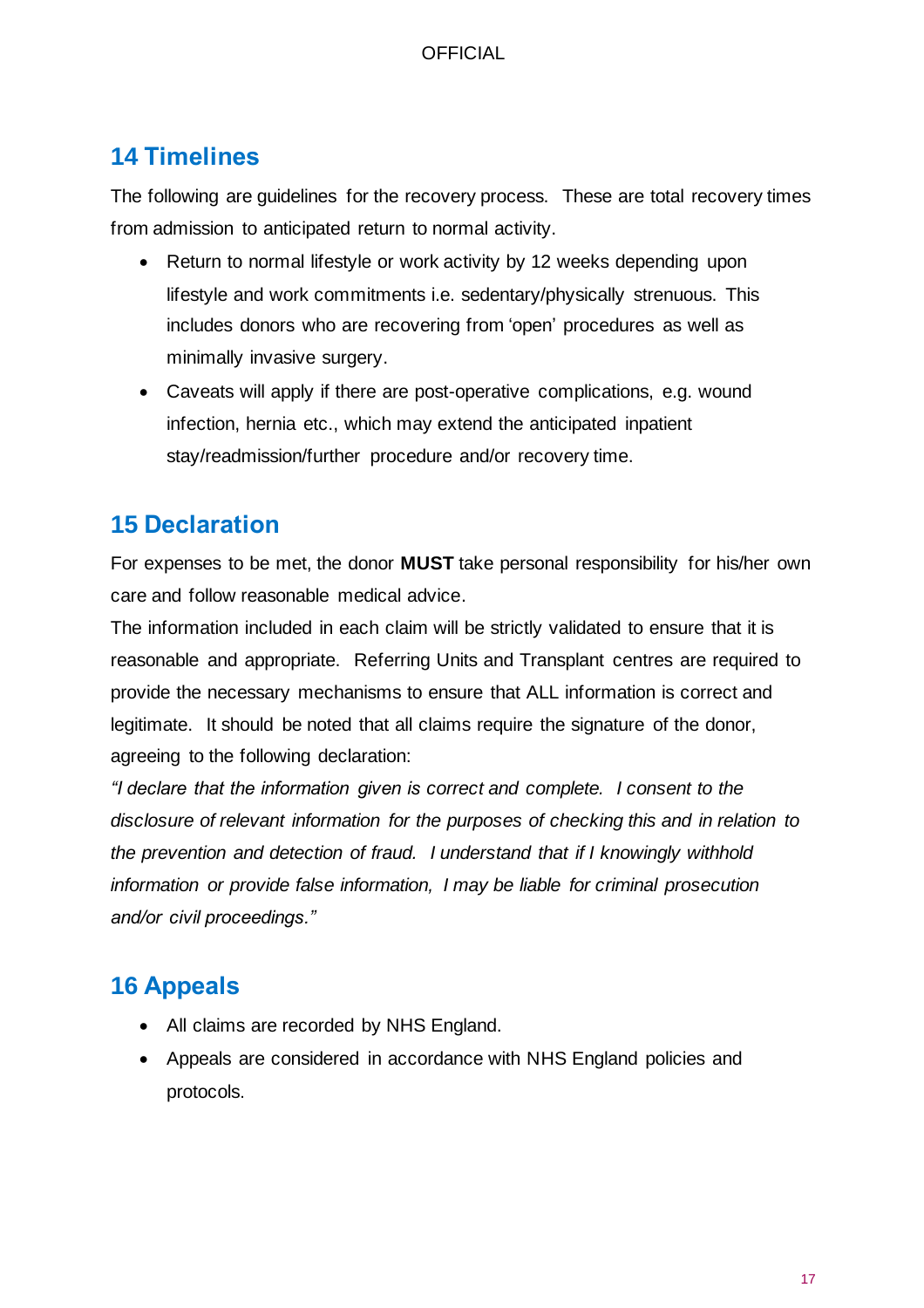# <span id="page-16-0"></span>**14 Timelines**

The following are guidelines for the recovery process. These are total recovery times from admission to anticipated return to normal activity.

- Return to normal lifestyle or work activity by 12 weeks depending upon lifestyle and work commitments i.e. sedentary/physically strenuous. This includes donors who are recovering from 'open' procedures as well as minimally invasive surgery.
- Caveats will apply if there are post-operative complications, e.g. wound infection, hernia etc., which may extend the anticipated inpatient stay/readmission/further procedure and/or recovery time.

# <span id="page-16-1"></span>**15 Declaration**

For expenses to be met, the donor **MUST** take personal responsibility for his/her own care and follow reasonable medical advice.

The information included in each claim will be strictly validated to ensure that it is reasonable and appropriate. Referring Units and Transplant centres are required to provide the necessary mechanisms to ensure that ALL information is correct and legitimate. It should be noted that all claims require the signature of the donor, agreeing to the following declaration:

*"I declare that the information given is correct and complete. I consent to the disclosure of relevant information for the purposes of checking this and in relation to the prevention and detection of fraud. I understand that if I knowingly withhold information or provide false information, I may be liable for criminal prosecution and/or civil proceedings."*

# <span id="page-16-2"></span>**16 Appeals**

- All claims are recorded by NHS England.
- Appeals are considered in accordance with NHS England policies and protocols.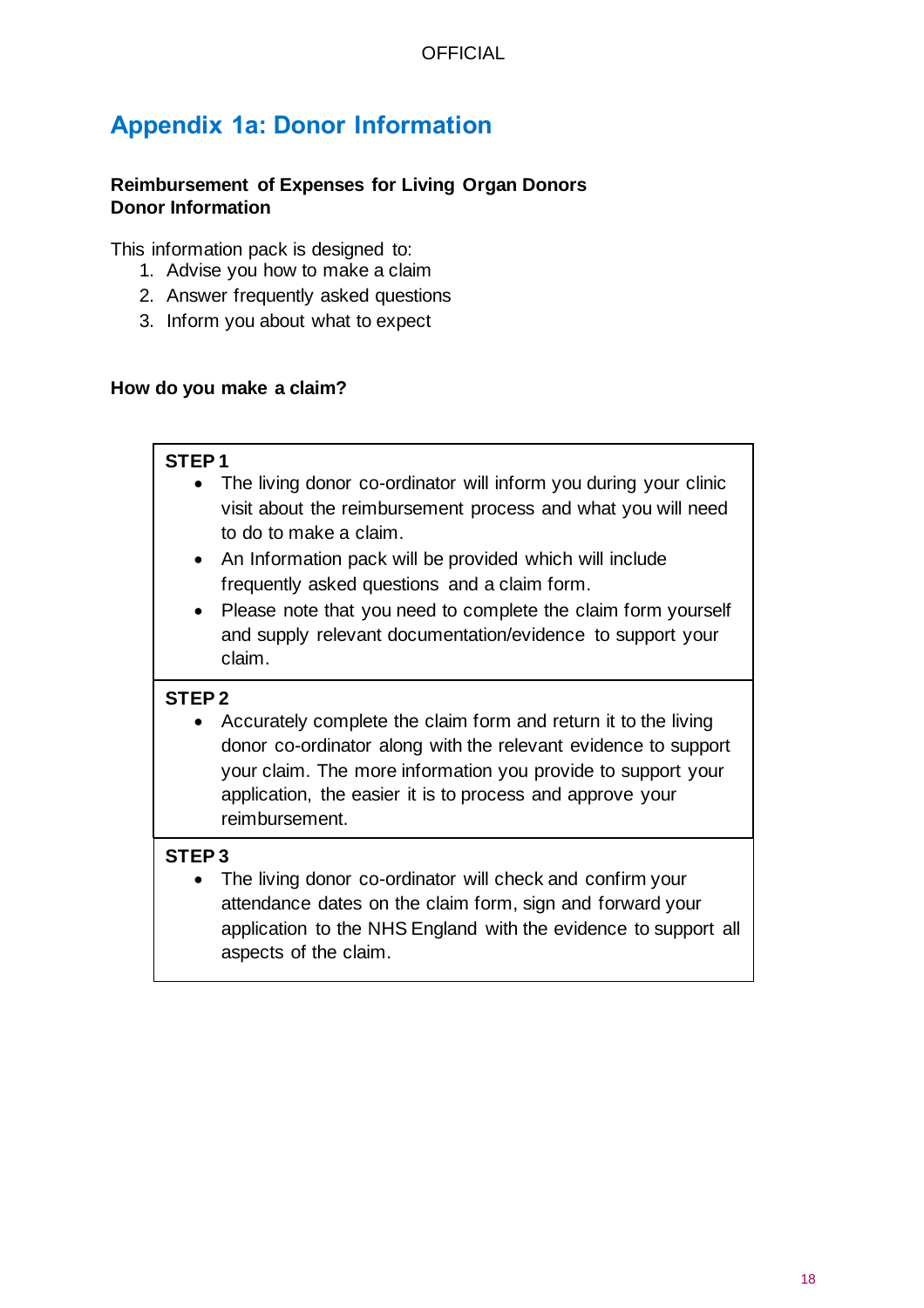# **Appendix 1a: Donor Information**

### **Reimbursement of Expenses for Living Organ Donors Donor Information**

This information pack is designed to:

- 1. Advise you how to make a claim
- 2. Answer frequently asked questions
- 3. Inform you about what to expect

### **How do you make a claim?**

### **STEP 1**

- The living donor co-ordinator will inform you during your clinic visit about the reimbursement process and what you will need to do to make a claim.
	- An Information pack will be provided which will include frequently asked questions and a claim form.
	- Please note that you need to complete the claim form yourself and supply relevant documentation/evidence to support your claim.

### **STEP 2**

• Accurately complete the claim form and return it to the living donor co-ordinator along with the relevant evidence to support your claim. The more information you provide to support your application, the easier it is to process and approve your reimbursement.

### **STEP 3**

• The living donor co-ordinator will check and confirm your attendance dates on the claim form, sign and forward your application to the NHS England with the evidence to support all aspects of the claim.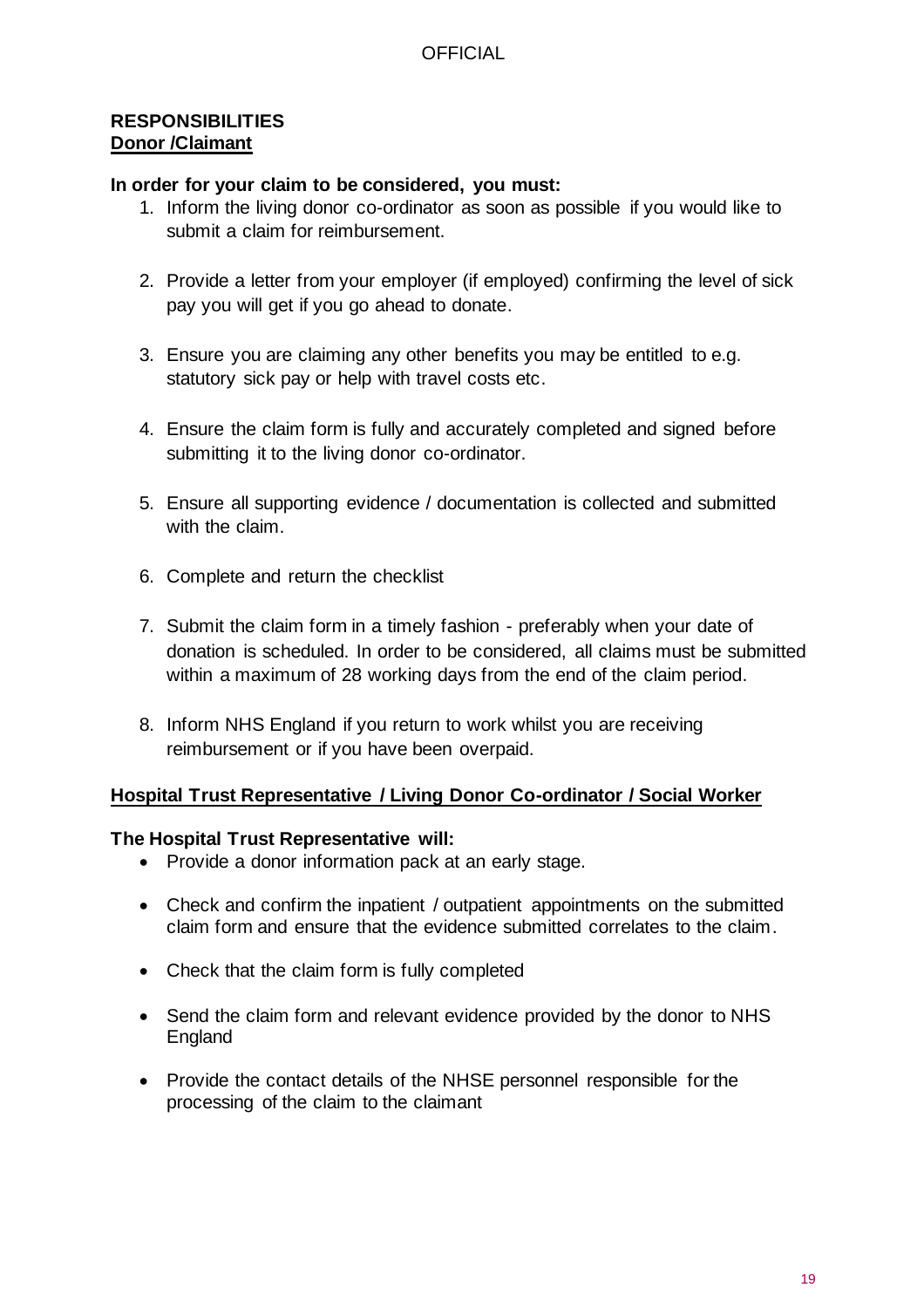#### **RESPONSIBILITIES Donor /Claimant**

#### **In order for your claim to be considered, you must:**

- 1. Inform the living donor co-ordinator as soon as possible if you would like to submit a claim for reimbursement.
- 2. Provide a letter from your employer (if employed) confirming the level of sick pay you will get if you go ahead to donate.
- 3. Ensure you are claiming any other benefits you may be entitled to e.g. statutory sick pay or help with travel costs etc.
- 4. Ensure the claim form is fully and accurately completed and signed before submitting it to the living donor co-ordinator.
- 5. Ensure all supporting evidence / documentation is collected and submitted with the claim.
- 6. Complete and return the checklist
- 7. Submit the claim form in a timely fashion preferably when your date of donation is scheduled. In order to be considered, all claims must be submitted within a maximum of 28 working days from the end of the claim period.
- 8. Inform NHS England if you return to work whilst you are receiving reimbursement or if you have been overpaid.

#### **Hospital Trust Representative / Living Donor Co-ordinator / Social Worker**

#### **The Hospital Trust Representative will:**

- Provide a donor information pack at an early stage.
- Check and confirm the inpatient / outpatient appointments on the submitted claim form and ensure that the evidence submitted correlates to the claim.
- Check that the claim form is fully completed
- Send the claim form and relevant evidence provided by the donor to NHS England
- Provide the contact details of the NHSE personnel responsible for the processing of the claim to the claimant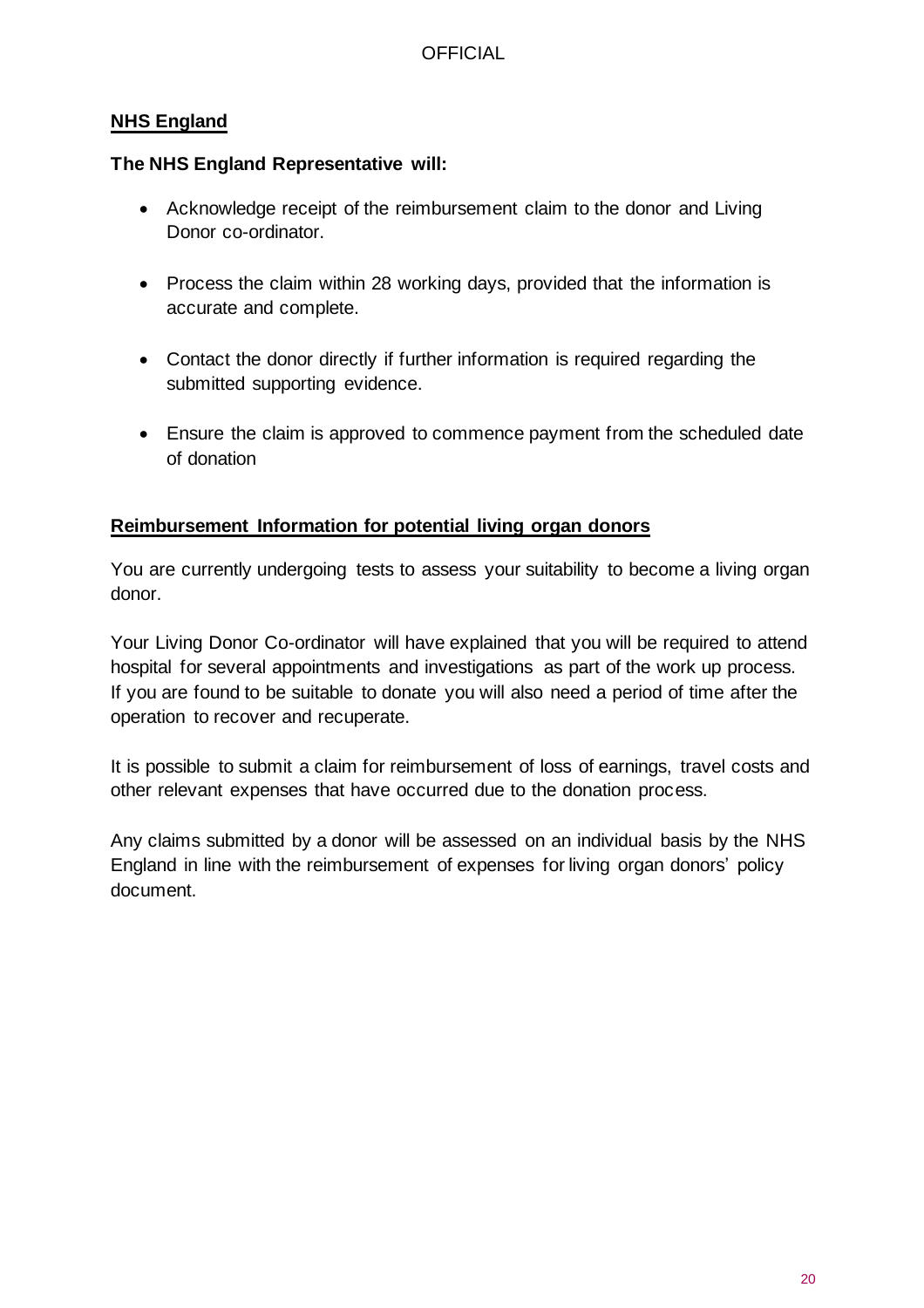### **NHS England**

### **The NHS England Representative will:**

- Acknowledge receipt of the reimbursement claim to the donor and Living Donor co-ordinator.
- Process the claim within 28 working days, provided that the information is accurate and complete.
- Contact the donor directly if further information is required regarding the submitted supporting evidence.
- Ensure the claim is approved to commence payment from the scheduled date of donation

### **Reimbursement Information for potential living organ donors**

You are currently undergoing tests to assess your suitability to become a living organ donor.

Your Living Donor Co-ordinator will have explained that you will be required to attend hospital for several appointments and investigations as part of the work up process. If you are found to be suitable to donate you will also need a period of time after the operation to recover and recuperate.

It is possible to submit a claim for reimbursement of loss of earnings, travel costs and other relevant expenses that have occurred due to the donation process.

Any claims submitted by a donor will be assessed on an individual basis by the NHS England in line with the reimbursement of expenses for living organ donors' policy document.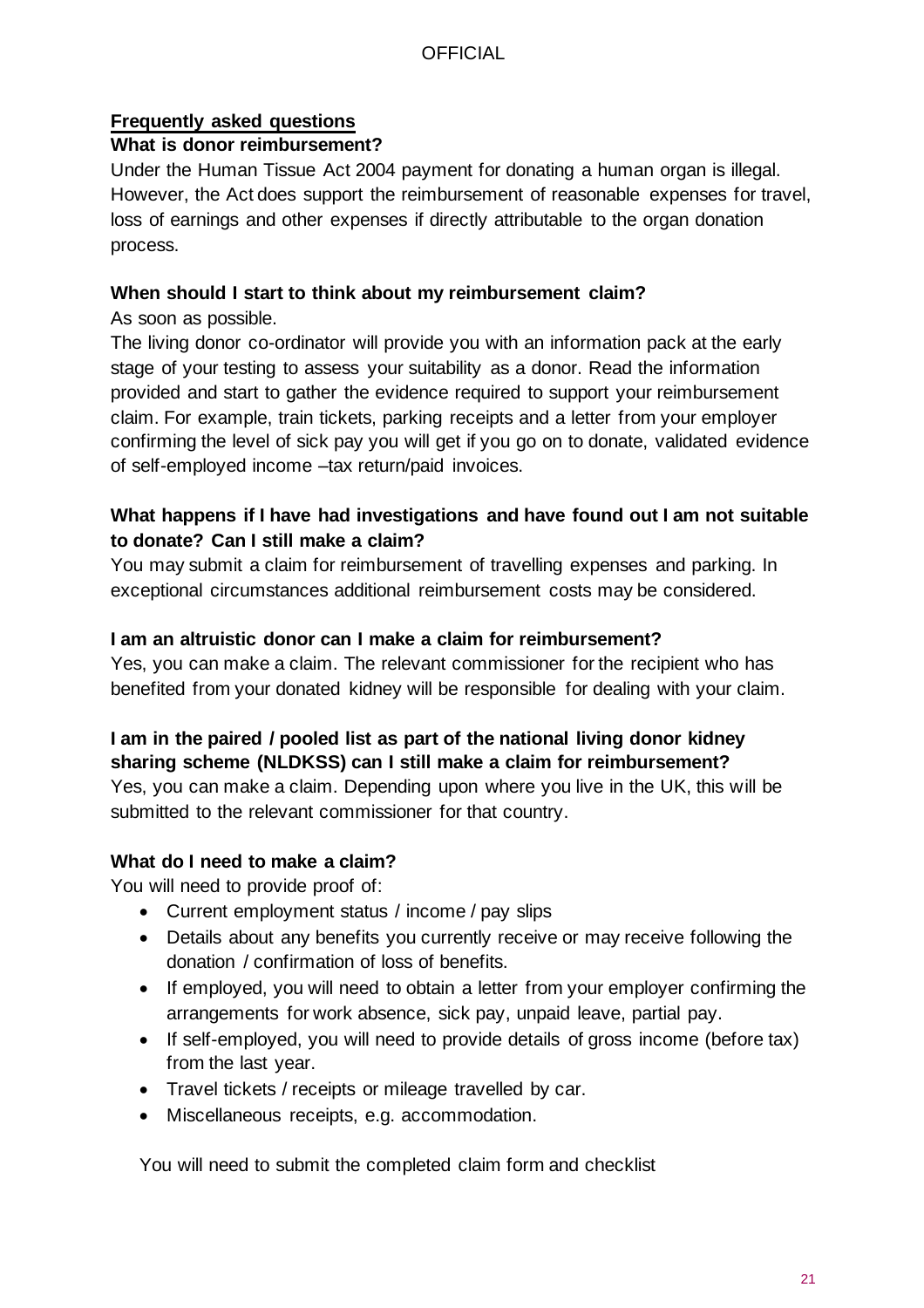### **Frequently asked questions**

### **What is donor reimbursement?**

Under the Human Tissue Act 2004 payment for donating a human organ is illegal. However, the Act does support the reimbursement of reasonable expenses for travel, loss of earnings and other expenses if directly attributable to the organ donation process.

### **When should I start to think about my reimbursement claim?**

As soon as possible.

The living donor co-ordinator will provide you with an information pack at the early stage of your testing to assess your suitability as a donor. Read the information provided and start to gather the evidence required to support your reimbursement claim. For example, train tickets, parking receipts and a letter from your employer confirming the level of sick pay you will get if you go on to donate, validated evidence of self-employed income –tax return/paid invoices.

### **What happens if I have had investigations and have found out I am not suitable to donate? Can I still make a claim?**

You may submit a claim for reimbursement of travelling expenses and parking. In exceptional circumstances additional reimbursement costs may be considered.

### **I am an altruistic donor can I make a claim for reimbursement?**

Yes, you can make a claim. The relevant commissioner for the recipient who has benefited from your donated kidney will be responsible for dealing with your claim.

### **I am in the paired / pooled list as part of the national living donor kidney sharing scheme (NLDKSS) can I still make a claim for reimbursement?**

Yes, you can make a claim. Depending upon where you live in the UK, this will be submitted to the relevant commissioner for that country.

### **What do I need to make a claim?**

You will need to provide proof of:

- Current employment status / income / pay slips
- Details about any benefits you currently receive or may receive following the donation / confirmation of loss of benefits.
- If employed, you will need to obtain a letter from your employer confirming the arrangements for work absence, sick pay, unpaid leave, partial pay.
- If self-employed, you will need to provide details of gross income (before tax) from the last year.
- Travel tickets / receipts or mileage travelled by car.
- Miscellaneous receipts, e.g. accommodation.

You will need to submit the completed claim form and checklist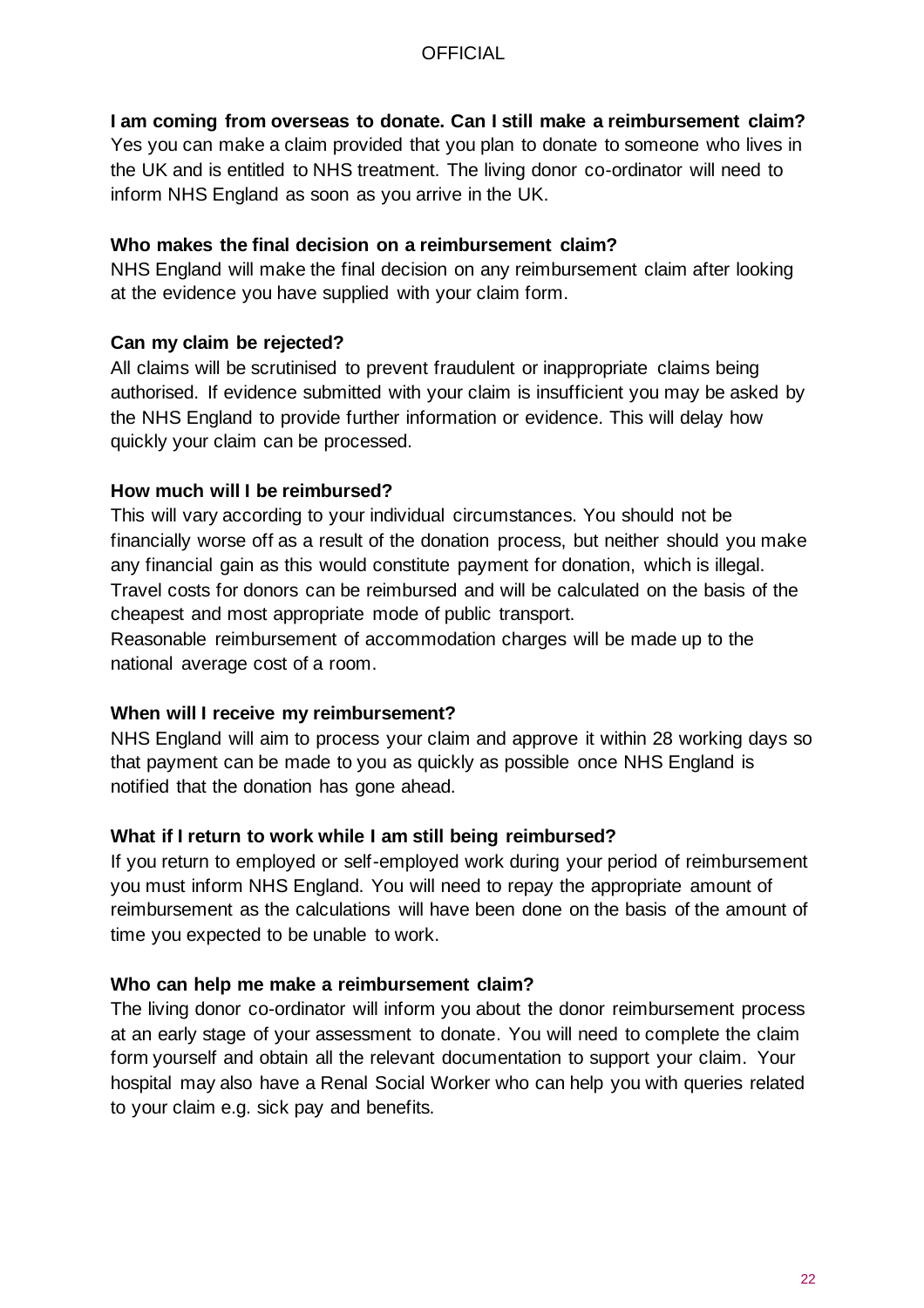### **I am coming from overseas to donate. Can I still make a reimbursement claim?**

Yes you can make a claim provided that you plan to donate to someone who lives in the UK and is entitled to NHS treatment. The living donor co-ordinator will need to inform NHS England as soon as you arrive in the UK.

### **Who makes the final decision on a reimbursement claim?**

NHS England will make the final decision on any reimbursement claim after looking at the evidence you have supplied with your claim form.

### **Can my claim be rejected?**

All claims will be scrutinised to prevent fraudulent or inappropriate claims being authorised. If evidence submitted with your claim is insufficient you may be asked by the NHS England to provide further information or evidence. This will delay how quickly your claim can be processed.

### **How much will I be reimbursed?**

This will vary according to your individual circumstances. You should not be financially worse off as a result of the donation process, but neither should you make any financial gain as this would constitute payment for donation, which is illegal. Travel costs for donors can be reimbursed and will be calculated on the basis of the cheapest and most appropriate mode of public transport.

Reasonable reimbursement of accommodation charges will be made up to the national average cost of a room.

### **When will I receive my reimbursement?**

NHS England will aim to process your claim and approve it within 28 working days so that payment can be made to you as quickly as possible once NHS England is notified that the donation has gone ahead.

### **What if I return to work while I am still being reimbursed?**

If you return to employed or self-employed work during your period of reimbursement you must inform NHS England. You will need to repay the appropriate amount of reimbursement as the calculations will have been done on the basis of the amount of time you expected to be unable to work.

### **Who can help me make a reimbursement claim?**

The living donor co-ordinator will inform you about the donor reimbursement process at an early stage of your assessment to donate. You will need to complete the claim form yourself and obtain all the relevant documentation to support your claim. Your hospital may also have a Renal Social Worker who can help you with queries related to your claim e.g. sick pay and benefits.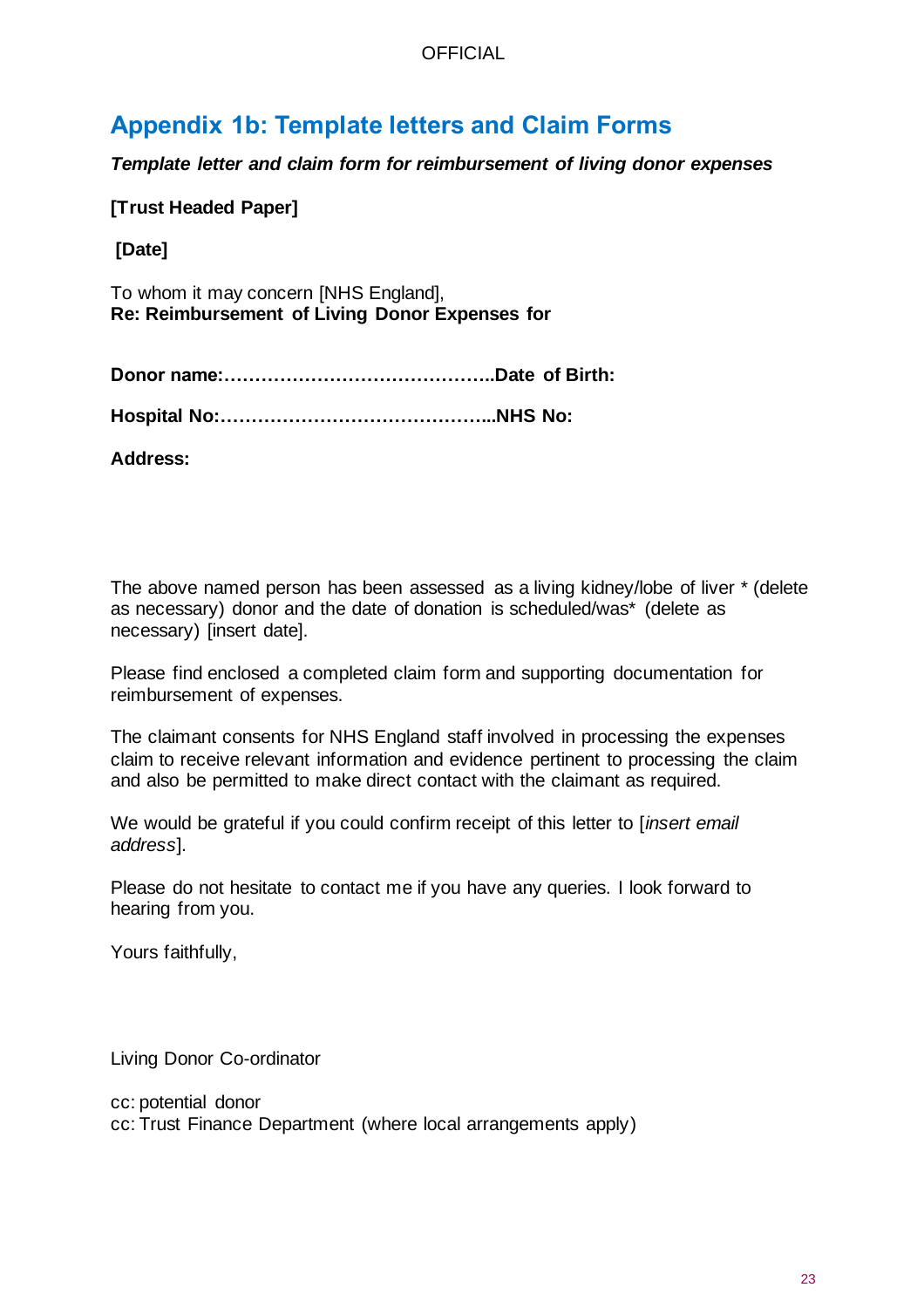# **Appendix 1b: Template letters and Claim Forms**

*Template letter and claim form for reimbursement of living donor expenses* 

**[Trust Headed Paper]**

**[Date]**

To whom it may concern [NHS England], **Re: Reimbursement of Living Donor Expenses for** 

**Donor name:……………………………………..Date of Birth:** 

**Hospital No:……………………………………...NHS No:** 

**Address:** 

The above named person has been assessed as a living kidney/lobe of liver \* (delete as necessary) donor and the date of donation is scheduled/was\* (delete as necessary) [insert date].

Please find enclosed a completed claim form and supporting documentation for reimbursement of expenses.

The claimant consents for NHS England staff involved in processing the expenses claim to receive relevant information and evidence pertinent to processing the claim and also be permitted to make direct contact with the claimant as required.

We would be grateful if you could confirm receipt of this letter to [*insert email address*].

Please do not hesitate to contact me if you have any queries. I look forward to hearing from you.

Yours faithfully,

Living Donor Co-ordinator

cc: potential donor cc: Trust Finance Department (where local arrangements apply)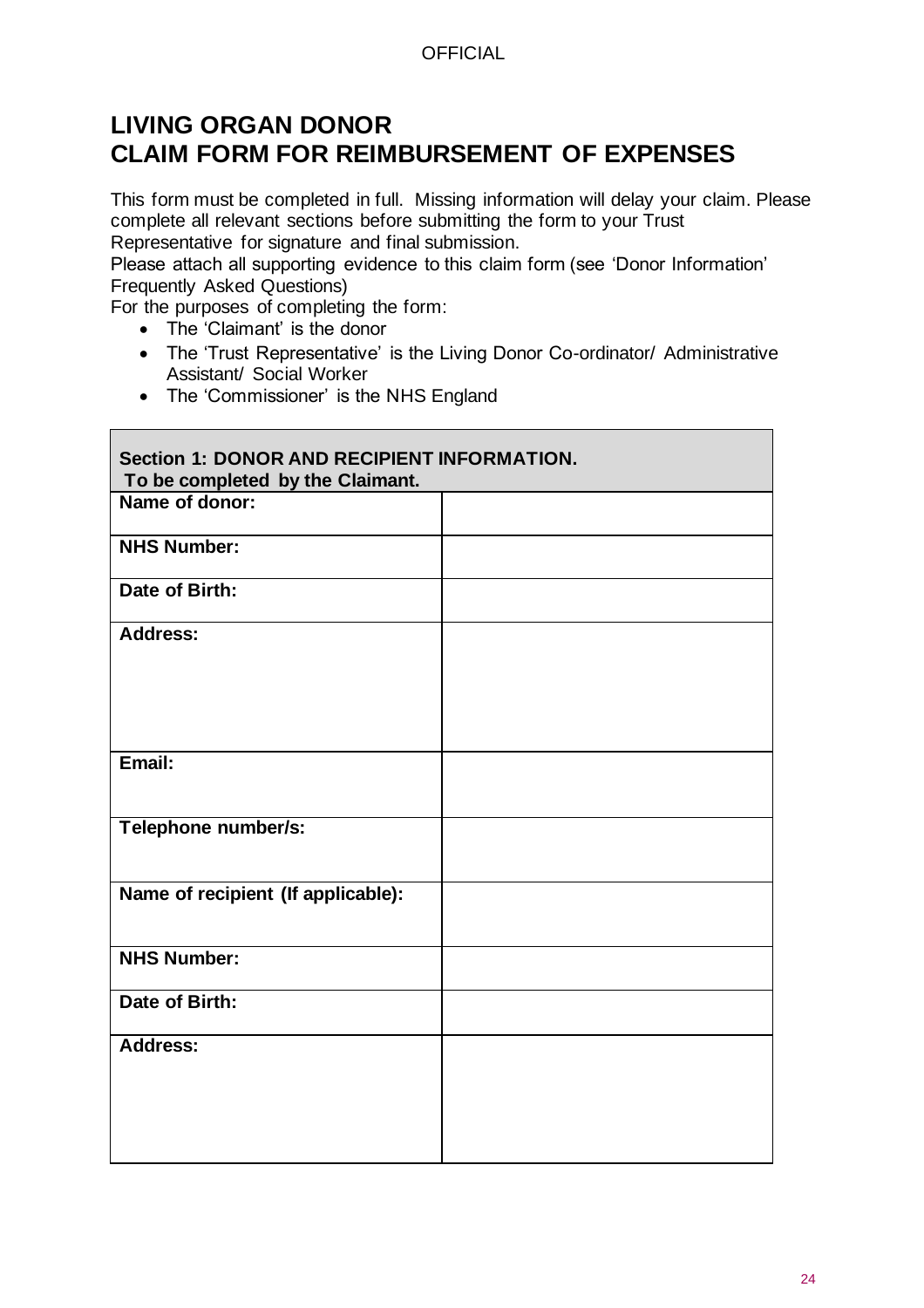# **LIVING ORGAN DONOR CLAIM FORM FOR REIMBURSEMENT OF EXPENSES**

This form must be completed in full. Missing information will delay your claim. Please complete all relevant sections before submitting the form to your Trust Representative for signature and final submission.

Please attach all supporting evidence to this claim form (see 'Donor Information' Frequently Asked Questions)

For the purposes of completing the form:

• The 'Claimant' is the donor

 $\blacksquare$ 

- The 'Trust Representative' is the Living Donor Co-ordinator/ Administrative Assistant/ Social Worker
- The 'Commissioner' is the NHS England

| <b>Section 1: DONOR AND RECIPIENT INFORMATION.</b><br>To be completed by the Claimant. |  |  |  |
|----------------------------------------------------------------------------------------|--|--|--|
| Name of donor:                                                                         |  |  |  |
| <b>NHS Number:</b>                                                                     |  |  |  |
| Date of Birth:                                                                         |  |  |  |
| <b>Address:</b>                                                                        |  |  |  |
| Email:                                                                                 |  |  |  |
| Telephone number/s:                                                                    |  |  |  |
| Name of recipient (If applicable):                                                     |  |  |  |
| <b>NHS Number:</b>                                                                     |  |  |  |
| Date of Birth:                                                                         |  |  |  |
| Address:                                                                               |  |  |  |

 $\overline{\phantom{0}}$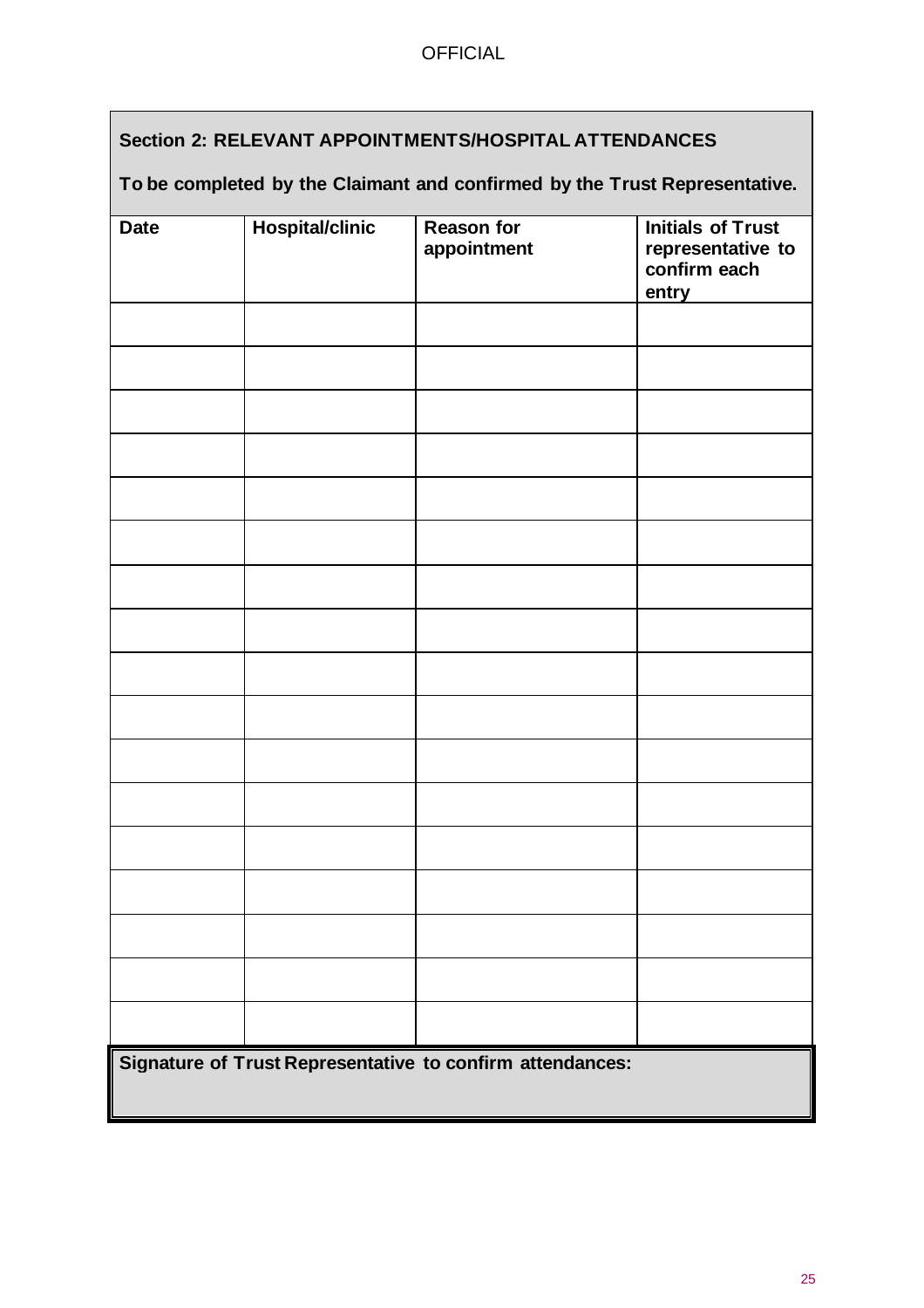# **Section 2: RELEVANT APPOINTMENTS/HOSPITAL ATTENDANCES**

### **To be completed by the Claimant and confirmed by the Trust Representative.**

|             |                        | <b>Reason for</b>                                         |                                               |
|-------------|------------------------|-----------------------------------------------------------|-----------------------------------------------|
| <b>Date</b> | <b>Hospital/clinic</b> | appointment                                               | <b>Initials of Trust</b><br>representative to |
|             |                        |                                                           | confirm each                                  |
|             |                        |                                                           | entry                                         |
|             |                        |                                                           |                                               |
|             |                        |                                                           |                                               |
|             |                        |                                                           |                                               |
|             |                        |                                                           |                                               |
|             |                        |                                                           |                                               |
|             |                        |                                                           |                                               |
|             |                        |                                                           |                                               |
|             |                        |                                                           |                                               |
|             |                        |                                                           |                                               |
|             |                        |                                                           |                                               |
|             |                        |                                                           |                                               |
|             |                        |                                                           |                                               |
|             |                        |                                                           |                                               |
|             |                        |                                                           |                                               |
|             |                        |                                                           |                                               |
|             |                        |                                                           |                                               |
|             |                        |                                                           |                                               |
|             |                        |                                                           |                                               |
|             |                        | Signature of Trust Representative to confirm attendances: |                                               |
|             |                        |                                                           |                                               |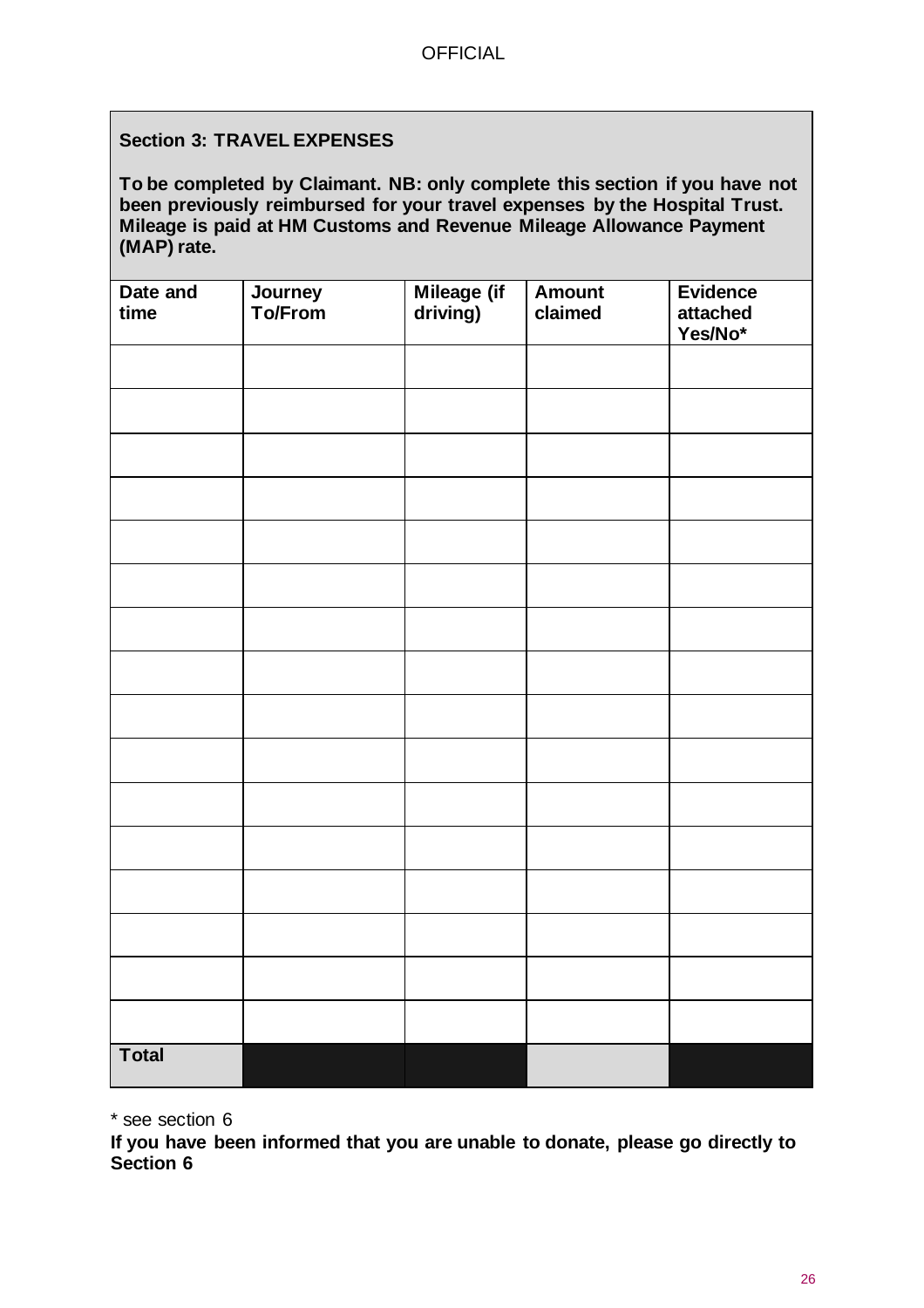### **Section 3: TRAVEL EXPENSES**

**To be completed by Claimant. NB: only complete this section if you have not been previously reimbursed for your travel expenses by the Hospital Trust. Mileage is paid at HM Customs and Revenue Mileage Allowance Payment (MAP) rate.**

| Date and<br>time | Journey<br>To/From | Mileage (if<br>driving) | <b>Amount</b><br>claimed | <b>Evidence</b><br>attached<br>Yes/No* |
|------------------|--------------------|-------------------------|--------------------------|----------------------------------------|
|                  |                    |                         |                          |                                        |
|                  |                    |                         |                          |                                        |
|                  |                    |                         |                          |                                        |
|                  |                    |                         |                          |                                        |
|                  |                    |                         |                          |                                        |
|                  |                    |                         |                          |                                        |
|                  |                    |                         |                          |                                        |
|                  |                    |                         |                          |                                        |
|                  |                    |                         |                          |                                        |
|                  |                    |                         |                          |                                        |
|                  |                    |                         |                          |                                        |
|                  |                    |                         |                          |                                        |
|                  |                    |                         |                          |                                        |
|                  |                    |                         |                          |                                        |
|                  |                    |                         |                          |                                        |
|                  |                    |                         |                          |                                        |
| <b>Total</b>     |                    |                         |                          |                                        |

\* see section 6

**If you have been informed that you are unable to donate, please go directly to Section 6**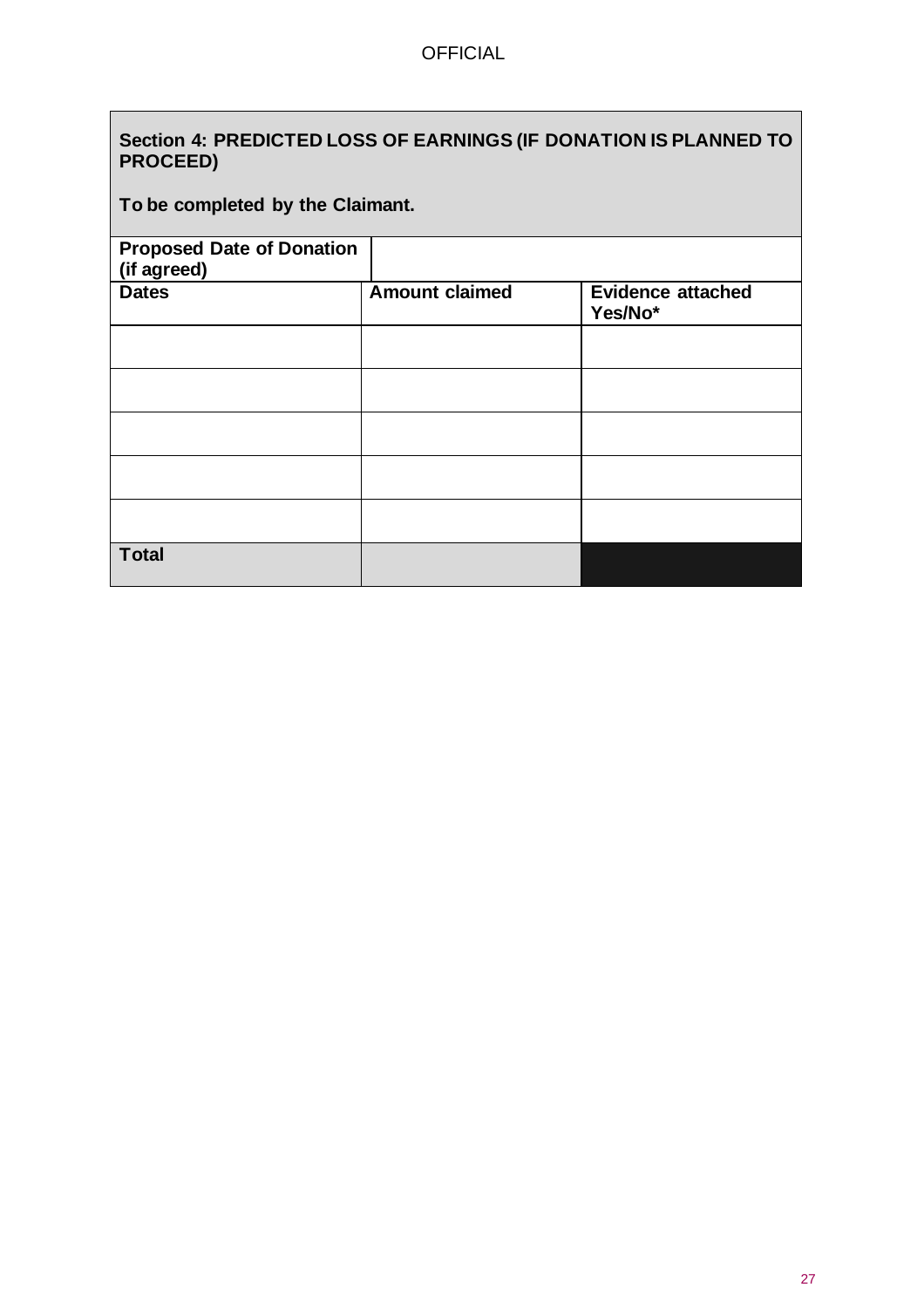$\overline{\phantom{a}}$ 

| Section 4: PREDICTED LOSS OF EARNINGS (IF DONATION IS PLANNED TO<br><b>PROCEED)</b> |                       |                                     |  |
|-------------------------------------------------------------------------------------|-----------------------|-------------------------------------|--|
| To be completed by the Claimant.                                                    |                       |                                     |  |
| <b>Proposed Date of Donation</b><br>(if agreed)                                     |                       |                                     |  |
| <b>Dates</b>                                                                        | <b>Amount claimed</b> | <b>Evidence attached</b><br>Yes/No* |  |
|                                                                                     |                       |                                     |  |
|                                                                                     |                       |                                     |  |
|                                                                                     |                       |                                     |  |
|                                                                                     |                       |                                     |  |
|                                                                                     |                       |                                     |  |
| <b>Total</b>                                                                        |                       |                                     |  |

٦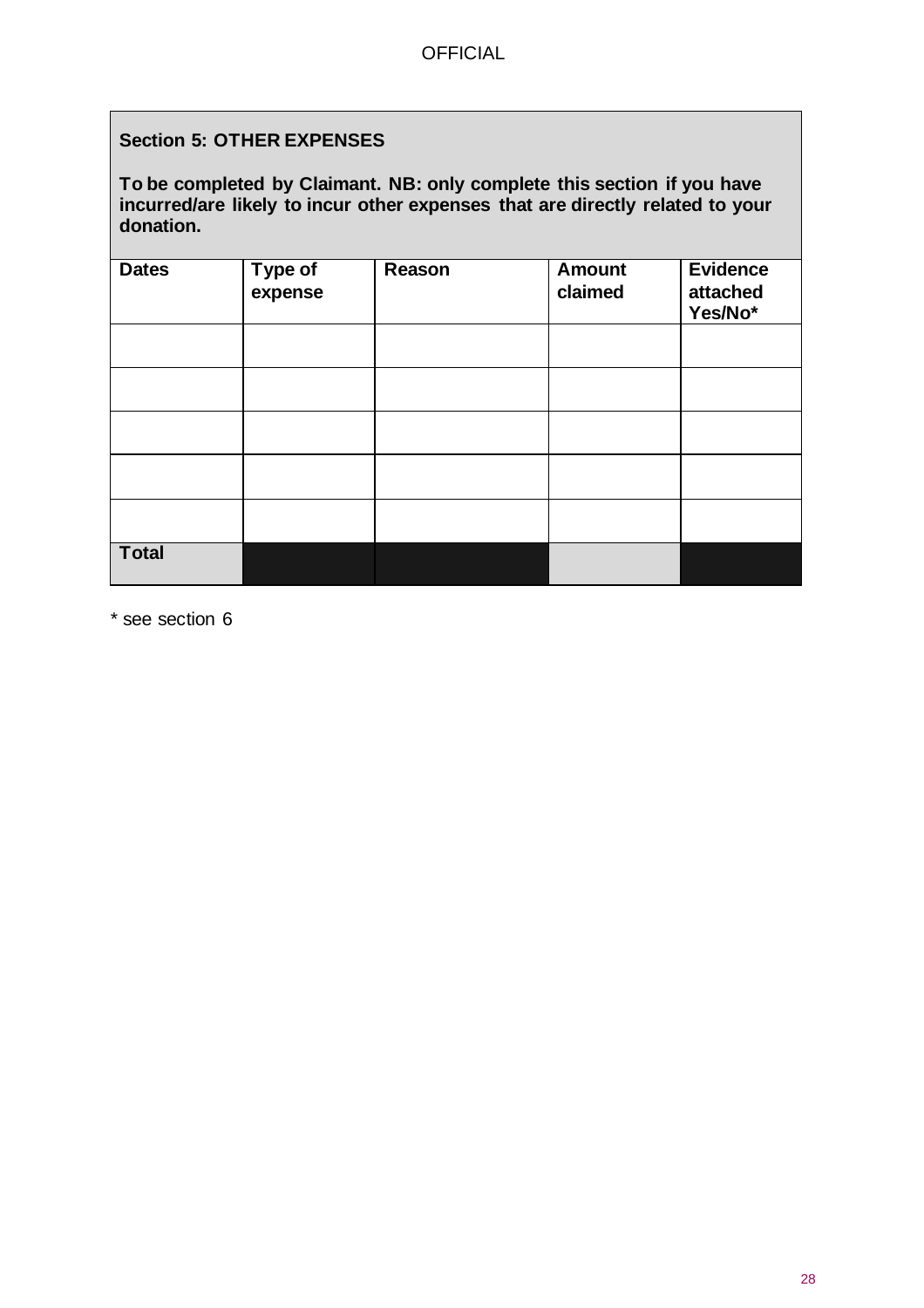### **Section 5: OTHER EXPENSES**

**To be completed by Claimant. NB: only complete this section if you have incurred/are likely to incur other expenses that are directly related to your donation.**

| <b>Dates</b> | Type of<br>expense | Reason | <b>Amount</b><br>claimed | <b>Evidence</b><br>attached<br>Yes/No* |
|--------------|--------------------|--------|--------------------------|----------------------------------------|
|              |                    |        |                          |                                        |
|              |                    |        |                          |                                        |
|              |                    |        |                          |                                        |
|              |                    |        |                          |                                        |
|              |                    |        |                          |                                        |
| <b>Total</b> |                    |        |                          |                                        |

\* see section 6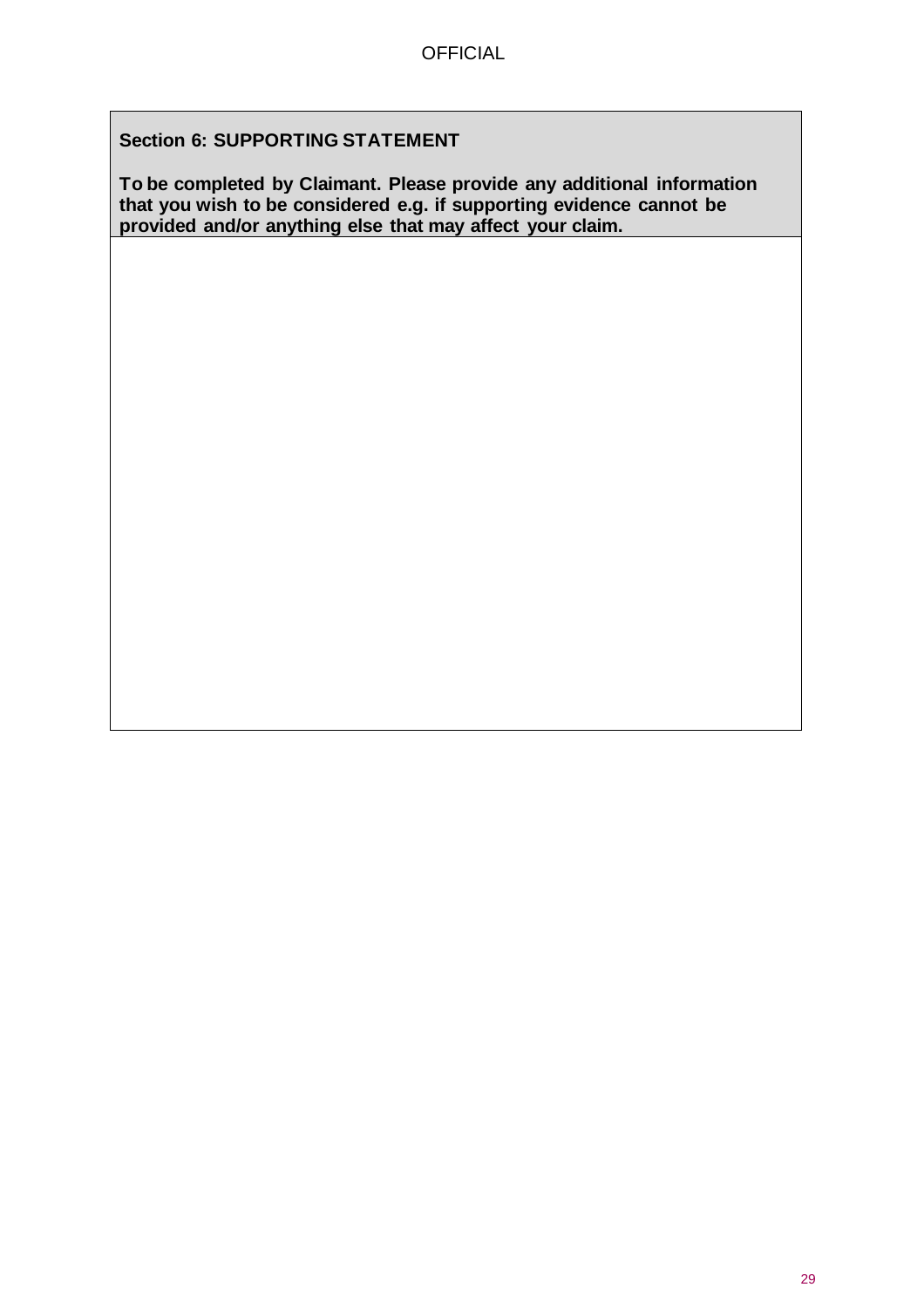### **Section 6: SUPPORTING STATEMENT**

**To be completed by Claimant. Please provide any additional information that you wish to be considered e.g. if supporting evidence cannot be provided and/or anything else that may affect your claim.**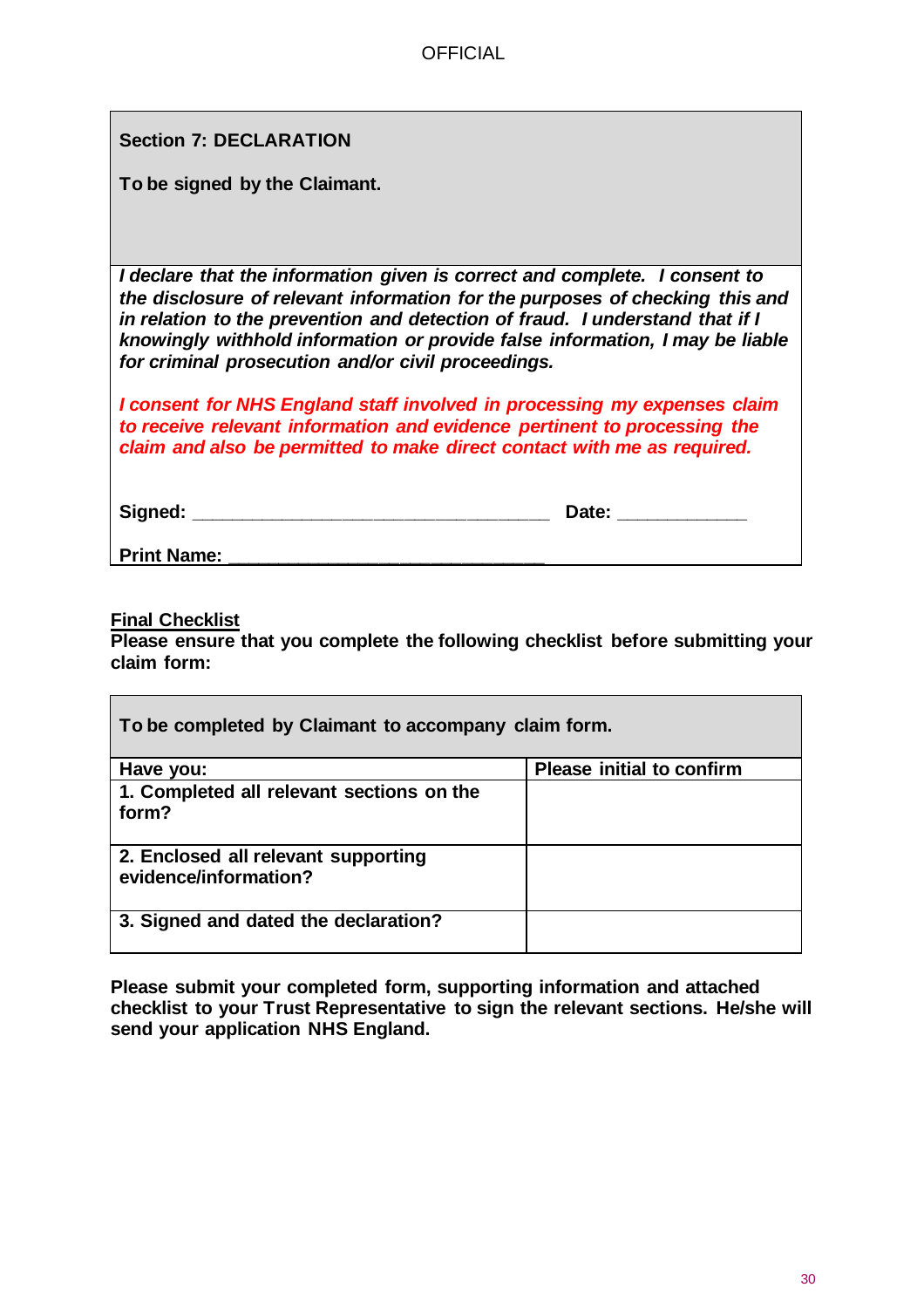**Section 7: DECLARATION**

**To be signed by the Claimant.**

*I declare that the information given is correct and complete. I consent to the disclosure of relevant information for the purposes of checking this and in relation to the prevention and detection of fraud. I understand that if I knowingly withhold information or provide false information, I may be liable for criminal prosecution and/or civil proceedings.*

*I consent for NHS England staff involved in processing my expenses claim to receive relevant information and evidence pertinent to processing the claim and also be permitted to make direct contact with me as required.*

**Signed: \_\_\_\_\_\_\_\_\_\_\_\_\_\_\_\_\_\_\_\_\_\_\_\_\_\_\_\_\_\_\_\_\_\_\_ Date: \_\_\_\_\_\_\_\_\_\_\_\_\_**

**Print Name:** 

**Final Checklist**

**Please ensure that you complete the following checklist before submitting your claim form:**

| To be completed by Claimant to accompany claim form.         |                                  |  |  |
|--------------------------------------------------------------|----------------------------------|--|--|
| Have you:                                                    | <b>Please initial to confirm</b> |  |  |
| 1. Completed all relevant sections on the<br>form?           |                                  |  |  |
| 2. Enclosed all relevant supporting<br>evidence/information? |                                  |  |  |
| 3. Signed and dated the declaration?                         |                                  |  |  |

**Please submit your completed form, supporting information and attached checklist to your Trust Representative to sign the relevant sections. He/she will send your application NHS England.**